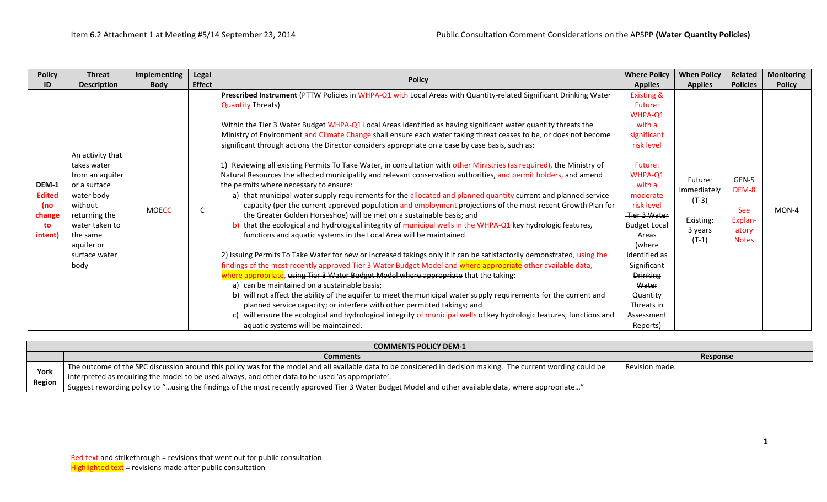| <b>Policy</b>                                            | <b>Threat</b>                                                                                                                              | <b>Implementing</b> | Legal                                                                                                                                                                                                                                                                                                                                                                                                                                                                                                                                                                                                                                                                                                                                         |                                                                                                                                                                                                                                                                                                                                                                                                                                                                                                                                                                                                                                                                                                                                                                                                                                                                                                                                                                                                                                                                                                                                                                                                                                                                                                           | <b>Where Policy</b>                                                                                                                                                                                    | <b>When Policy</b>                                                   | Related                                                          |                            |
|----------------------------------------------------------|--------------------------------------------------------------------------------------------------------------------------------------------|---------------------|-----------------------------------------------------------------------------------------------------------------------------------------------------------------------------------------------------------------------------------------------------------------------------------------------------------------------------------------------------------------------------------------------------------------------------------------------------------------------------------------------------------------------------------------------------------------------------------------------------------------------------------------------------------------------------------------------------------------------------------------------|-----------------------------------------------------------------------------------------------------------------------------------------------------------------------------------------------------------------------------------------------------------------------------------------------------------------------------------------------------------------------------------------------------------------------------------------------------------------------------------------------------------------------------------------------------------------------------------------------------------------------------------------------------------------------------------------------------------------------------------------------------------------------------------------------------------------------------------------------------------------------------------------------------------------------------------------------------------------------------------------------------------------------------------------------------------------------------------------------------------------------------------------------------------------------------------------------------------------------------------------------------------------------------------------------------------|--------------------------------------------------------------------------------------------------------------------------------------------------------------------------------------------------------|----------------------------------------------------------------------|------------------------------------------------------------------|----------------------------|
| ID                                                       | <b>Description</b>                                                                                                                         | <b>Body</b>         | <b>Effect</b>                                                                                                                                                                                                                                                                                                                                                                                                                                                                                                                                                                                                                                                                                                                                 |                                                                                                                                                                                                                                                                                                                                                                                                                                                                                                                                                                                                                                                                                                                                                                                                                                                                                                                                                                                                                                                                                                                                                                                                                                                                                                           | <b>Applies</b>                                                                                                                                                                                         | <b>Applies</b>                                                       | <b>Policies</b>                                                  | <b>Policy</b>              |
| DEM-1<br><b>Edited</b><br>(no<br>change<br>to<br>intent) | An activity that<br>takes water<br>from an aquifer<br>or a surface<br>water body<br>without<br>returning the<br>water taken to<br>the same | <b>MOECC</b>        | C                                                                                                                                                                                                                                                                                                                                                                                                                                                                                                                                                                                                                                                                                                                                             | <b>Policy</b><br>Prescribed Instrument (PTTW Policies in WHPA-Q1 with Local Areas with Quantity-related Significant Drinking Water<br><b>Quantity Threats)</b><br>Within the Tier 3 Water Budget WHPA-Q1 Local Areas identified as having significant water quantity threats the<br>Ministry of Environment and Climate Change shall ensure each water taking threat ceases to be, or does not become<br>significant through actions the Director considers appropriate on a case by case basis, such as:<br>Reviewing all existing Permits To Take Water, in consultation with other Ministries (as required), the Ministry of<br>Natural Resources the affected municipality and relevant conservation authorities, and permit holders, and amend<br>the permits where necessary to ensure:<br>a) that municipal water supply requirements for the allocated and planned quantity current and planned service<br>eapacity (per the current approved population and employment projections of the most recent Growth Plan for<br>the Greater Golden Horseshoe) will be met on a sustainable basis; and<br>$\frac{1}{2}$ that the ecological and hydrological integrity of municipal wells in the WHPA-Q1 key hydrologic features,<br>functions and aquatic systems in the Local Area will be maintained. | <b>Existing &amp;</b><br>Future:<br>WHPA-Q1<br>with a<br>significant<br>risk level<br>Future:<br>WHPA-Q1<br>with a<br>moderate<br>risk level<br>Tier 3 Water<br><b>Budget Local</b><br>Areas<br>(where | Future:<br>Immediately<br>$(T-3)$<br>Existing:<br>3 years<br>$(T-1)$ | GEN-5<br>DEM-8<br><b>See</b><br>Explan-<br>atory<br><b>Notes</b> | <b>Monitoring</b><br>MON-4 |
|                                                          | aquifer or<br>surface water<br>body                                                                                                        |                     | 2) Issuing Permits To Take Water for new or increased takings only if it can be satisfactorily demonstrated, using the<br>findings of the most recently approved Tier 3 Water Budget Model and where appropriate other available data,<br>where appropriate, using Tier 3 Water Budget Model where appropriate that the taking:<br>a) can be maintained on a sustainable basis;<br>b) will not affect the ability of the aquifer to meet the municipal water supply requirements for the current and<br>planned service capacity; or interfere with other permitted takings; and<br>will ensure the ecological and hydrological integrity of municipal wells of key hydrologic features, functions and<br>aquatic systems will be maintained. | identified as<br>Significant<br><b>Drinking</b><br>Water<br>Quantity<br>Threats in<br>Assessment<br>Reports)                                                                                                                                                                                                                                                                                                                                                                                                                                                                                                                                                                                                                                                                                                                                                                                                                                                                                                                                                                                                                                                                                                                                                                                              |                                                                                                                                                                                                        |                                                                      |                                                                  |                            |

|                | <b>COMMENTS POLICY DEM-1</b>                                                                                                                                    |                |  |  |  |  |  |
|----------------|-----------------------------------------------------------------------------------------------------------------------------------------------------------------|----------------|--|--|--|--|--|
|                | <b>Comments</b>                                                                                                                                                 | Response       |  |  |  |  |  |
| York<br>Region | The outcome of the SPC discussion around this policy was for the model and all available data to be considered in decision making. The current wording could be | Revision made. |  |  |  |  |  |
|                | interpreted as requiring the model to be used always, and other data to be used 'as appropriate'.                                                               |                |  |  |  |  |  |
|                | I Suggest rewording policy to "using the findings of the most recently approved Tier 3 Water Budget Model and other available data, where appropriate"          |                |  |  |  |  |  |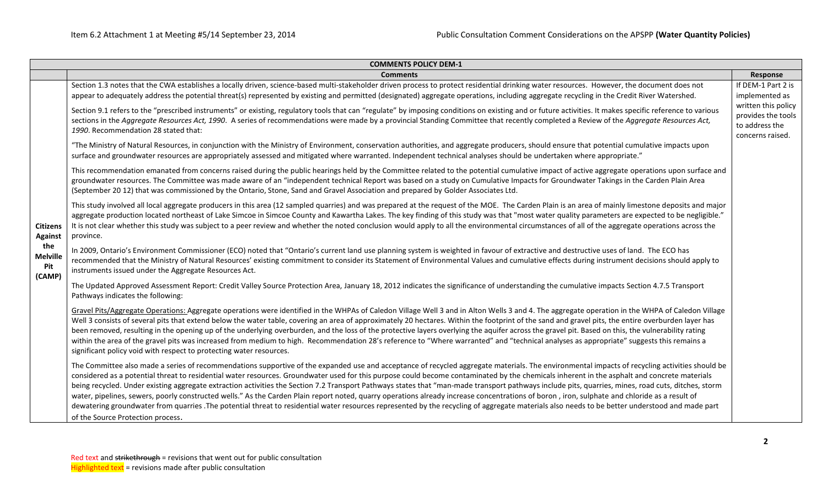| <b>COMMENTS POLICY DEM-1</b>            |                                                                                                                                                                                                                                                                                                                                                                                                                                                                                                                                                                                                                                                                                                                                                                                                                                                                                                                                                                                                                                               |                                                             |  |  |  |  |  |  |
|-----------------------------------------|-----------------------------------------------------------------------------------------------------------------------------------------------------------------------------------------------------------------------------------------------------------------------------------------------------------------------------------------------------------------------------------------------------------------------------------------------------------------------------------------------------------------------------------------------------------------------------------------------------------------------------------------------------------------------------------------------------------------------------------------------------------------------------------------------------------------------------------------------------------------------------------------------------------------------------------------------------------------------------------------------------------------------------------------------|-------------------------------------------------------------|--|--|--|--|--|--|
|                                         | <b>Comments</b>                                                                                                                                                                                                                                                                                                                                                                                                                                                                                                                                                                                                                                                                                                                                                                                                                                                                                                                                                                                                                               | Response                                                    |  |  |  |  |  |  |
|                                         | Section 1.3 notes that the CWA establishes a locally driven, science-based multi-stakeholder driven process to protect residential drinking water resources. However, the document does not<br>appear to adequately address the potential threat(s) represented by existing and permitted (designated) aggregate operations, including aggregate recycling in the Credit River Watershed.                                                                                                                                                                                                                                                                                                                                                                                                                                                                                                                                                                                                                                                     | If DEM-1 Part 2 is<br>implemented as<br>written this policy |  |  |  |  |  |  |
|                                         | Section 9.1 refers to the "prescribed instruments" or existing, regulatory tools that can "regulate" by imposing conditions on existing and or future activities. It makes specific reference to various<br>sections in the Aggregate Resources Act, 1990. A series of recommendations were made by a provincial Standing Committee that recently completed a Review of the Aggregate Resources Act,<br>1990. Recommendation 28 stated that:                                                                                                                                                                                                                                                                                                                                                                                                                                                                                                                                                                                                  |                                                             |  |  |  |  |  |  |
|                                         | "The Ministry of Natural Resources, in conjunction with the Ministry of Environment, conservation authorities, and aggregate producers, should ensure that potential cumulative impacts upon<br>surface and groundwater resources are appropriately assessed and mitigated where warranted. Independent technical analyses should be undertaken where appropriate."                                                                                                                                                                                                                                                                                                                                                                                                                                                                                                                                                                                                                                                                           |                                                             |  |  |  |  |  |  |
|                                         | This recommendation emanated from concerns raised during the public hearings held by the Committee related to the potential cumulative impact of active aggregate operations upon surface and<br>groundwater resources. The Committee was made aware of an "independent technical Report was based on a study on Cumulative Impacts for Groundwater Takings in the Carden Plain Area<br>(September 2012) that was commissioned by the Ontario, Stone, Sand and Gravel Association and prepared by Golder Associates Ltd.                                                                                                                                                                                                                                                                                                                                                                                                                                                                                                                      |                                                             |  |  |  |  |  |  |
| <b>Citizens</b><br><b>Against</b>       | This study involved all local aggregate producers in this area (12 sampled quarries) and was prepared at the request of the MOE. The Carden Plain is an area of mainly limestone deposits and major<br>aggregate production located northeast of Lake Simcoe in Simcoe County and Kawartha Lakes. The key finding of this study was that "most water quality parameters are expected to be negligible."<br>It is not clear whether this study was subject to a peer review and whether the noted conclusion would apply to all the environmental circumstances of all of the aggregate operations across the<br>province.                                                                                                                                                                                                                                                                                                                                                                                                                     |                                                             |  |  |  |  |  |  |
| the<br><b>Melville</b><br>Pit<br>(CAMP) | In 2009, Ontario's Environment Commissioner (ECO) noted that "Ontario's current land use planning system is weighted in favour of extractive and destructive uses of land. The ECO has<br>recommended that the Ministry of Natural Resources' existing commitment to consider its Statement of Environmental Values and cumulative effects during instrument decisions should apply to<br>instruments issued under the Aggregate Resources Act.                                                                                                                                                                                                                                                                                                                                                                                                                                                                                                                                                                                               |                                                             |  |  |  |  |  |  |
|                                         | The Updated Approved Assessment Report: Credit Valley Source Protection Area, January 18, 2012 indicates the significance of understanding the cumulative impacts Section 4.7.5 Transport<br>Pathways indicates the following:                                                                                                                                                                                                                                                                                                                                                                                                                                                                                                                                                                                                                                                                                                                                                                                                                |                                                             |  |  |  |  |  |  |
|                                         | Gravel Pits/Aggregate Operations: Aggregate operations were identified in the WHPAs of Caledon Village Well 3 and in Alton Wells 3 and 4. The aggregate operation in the WHPA of Caledon Village<br>Well 3 consists of several pits that extend below the water table, covering an area of approximately 20 hectares. Within the footprint of the sand and gravel pits, the entire overburden layer has<br>been removed, resulting in the opening up of the underlying overburden, and the loss of the protective layers overlying the aquifer across the gravel pit. Based on this, the vulnerability rating<br>within the area of the gravel pits was increased from medium to high. Recommendation 28's reference to "Where warranted" and "technical analyses as appropriate" suggests this remains a<br>significant policy void with respect to protecting water resources.                                                                                                                                                              |                                                             |  |  |  |  |  |  |
|                                         | The Committee also made a series of recommendations supportive of the expanded use and acceptance of recycled aggregate materials. The environmental impacts of recycling activities should be<br>considered as a potential threat to residential water resources. Groundwater used for this purpose could become contaminated by the chemicals inherent in the asphalt and concrete materials<br>being recycled. Under existing aggregate extraction activities the Section 7.2 Transport Pathways states that "man-made transport pathways include pits, quarries, mines, road cuts, ditches, storm<br>water, pipelines, sewers, poorly constructed wells." As the Carden Plain report noted, quarry operations already increase concentrations of boron, iron, sulphate and chloride as a result of<br>dewatering groundwater from quarries .The potential threat to residential water resources represented by the recycling of aggregate materials also needs to be better understood and made part<br>of the Source Protection process. |                                                             |  |  |  |  |  |  |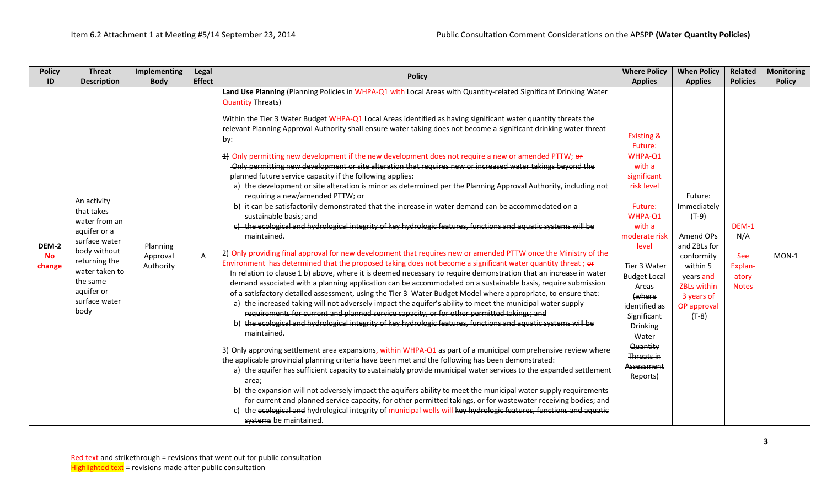| <b>Policy</b>                | Implementing<br><b>Threat</b>                                                                                                                                                                                          | Legal          |                                                                                                                                                                                                                                                                                                                                                                                                                                                                                                                                                                                                                                                                                                                                                                                                                                                                                                                                                                                                                                                                                                                                                                                                                                                                                                                                                                                                                                                                                                                                                                                                                                                                                                                                                                                                                                                                                                                                                                                                                                                                                                                                                                                                                                                                                                                                                                                                                                                                                                                                                                                                                                                                                                                                                                                                                             | <b>Where Policy</b>                                                                                                                                                                                                                                                                                                    | <b>When Policy</b>                                                                                                                                                  | Related                                                        | <b>Monitoring</b> |
|------------------------------|------------------------------------------------------------------------------------------------------------------------------------------------------------------------------------------------------------------------|----------------|-----------------------------------------------------------------------------------------------------------------------------------------------------------------------------------------------------------------------------------------------------------------------------------------------------------------------------------------------------------------------------------------------------------------------------------------------------------------------------------------------------------------------------------------------------------------------------------------------------------------------------------------------------------------------------------------------------------------------------------------------------------------------------------------------------------------------------------------------------------------------------------------------------------------------------------------------------------------------------------------------------------------------------------------------------------------------------------------------------------------------------------------------------------------------------------------------------------------------------------------------------------------------------------------------------------------------------------------------------------------------------------------------------------------------------------------------------------------------------------------------------------------------------------------------------------------------------------------------------------------------------------------------------------------------------------------------------------------------------------------------------------------------------------------------------------------------------------------------------------------------------------------------------------------------------------------------------------------------------------------------------------------------------------------------------------------------------------------------------------------------------------------------------------------------------------------------------------------------------------------------------------------------------------------------------------------------------------------------------------------------------------------------------------------------------------------------------------------------------------------------------------------------------------------------------------------------------------------------------------------------------------------------------------------------------------------------------------------------------------------------------------------------------------------------------------------------------|------------------------------------------------------------------------------------------------------------------------------------------------------------------------------------------------------------------------------------------------------------------------------------------------------------------------|---------------------------------------------------------------------------------------------------------------------------------------------------------------------|----------------------------------------------------------------|-------------------|
| ID                           | <b>Description</b><br><b>Body</b>                                                                                                                                                                                      | <b>Effect</b>  |                                                                                                                                                                                                                                                                                                                                                                                                                                                                                                                                                                                                                                                                                                                                                                                                                                                                                                                                                                                                                                                                                                                                                                                                                                                                                                                                                                                                                                                                                                                                                                                                                                                                                                                                                                                                                                                                                                                                                                                                                                                                                                                                                                                                                                                                                                                                                                                                                                                                                                                                                                                                                                                                                                                                                                                                                             | <b>Applies</b>                                                                                                                                                                                                                                                                                                         | <b>Applies</b>                                                                                                                                                      | <b>Policies</b>                                                | <b>Policy</b>     |
| DEM-2<br><b>No</b><br>change | An activity<br>that takes<br>water from an<br>aquifer or a<br>surface water<br>Planning<br>body without<br>Approval<br>returning the<br>Authority<br>water taken to<br>the same<br>aquifer or<br>surface water<br>body | $\overline{A}$ | <b>Policy</b><br>Land Use Planning (Planning Policies in WHPA-Q1 with Local Areas with Quantity-related Significant Drinking Water<br><b>Quantity Threats)</b><br>Within the Tier 3 Water Budget WHPA-Q1 Local Areas identified as having significant water quantity threats the<br>relevant Planning Approval Authority shall ensure water taking does not become a significant drinking water threat<br>by:<br>4) Only permitting new development if the new development does not require a new or amended PTTW; or<br>-Only permitting new development or site alteration that requires new or increased water takings beyond the<br>planned future service capacity if the following applies:<br>a) the development or site alteration is minor as determined per the Planning Approval Authority, including not<br>requiring a new/amended PTTW; or<br>b) it can be satisfactorily demonstrated that the increase in water demand can be accommodated on a<br>sustainable basis; and<br>c) the ecological and hydrological integrity of key hydrologic features, functions and aquatic systems will be<br>maintained.<br>2) Only providing final approval for new development that requires new or amended PTTW once the Ministry of the<br>Environment has determined that the proposed taking does not become a significant water quantity threat; or<br>In relation to clause 1 b) above, where it is deemed necessary to require demonstration that an increase in water<br>demand associated with a planning application can be accommodated on a sustainable basis, require submission<br>of a satisfactory detailed assessment, using the Tier 3 Water Budget Model where appropriate, to ensure that:<br>the increased taking will not adversely impact the aquifer's ability to meet the municipal water supply<br>a)<br>requirements for current and planned service capacity, or for other permitted takings; and<br>b) the ecological and hydrological integrity of key hydrologic features, functions and aquatic systems will be<br>maintained.<br>3) Only approving settlement area expansions, within WHPA-Q1 as part of a municipal comprehensive review where<br>the applicable provincial planning criteria have been met and the following has been demonstrated:<br>a) the aquifer has sufficient capacity to sustainably provide municipal water services to the expanded settlement<br>area;<br>b) the expansion will not adversely impact the aquifers ability to meet the municipal water supply requirements<br>for current and planned service capacity, for other permitted takings, or for wastewater receiving bodies; and<br>the ecological and hydrological integrity of municipal wells will key hydrologic features, functions and aquatic<br>$\mathsf{C}$<br>systems be maintained. | <b>Existing &amp;</b><br>Future:<br>WHPA-Q1<br>with a<br>significant<br>risk level<br>Future:<br>WHPA-Q1<br>with a<br>moderate risk<br>level<br>Tier 3 Water<br><b>Budget Local</b><br>Areas<br>(where<br>identified as<br>Significant<br><b>Drinking</b><br>Water<br>Quantity<br>Threats in<br>Assessment<br>Reports) | Future:<br>Immediately<br>$(T-9)$<br>Amend OPs<br>and ZBLs for<br>conformity<br>within 5<br>years and<br><b>ZBLs within</b><br>3 years of<br>OP approval<br>$(T-8)$ | DEM-1<br>N/A<br><b>See</b><br>Explan-<br>atory<br><b>Notes</b> | $MON-1$           |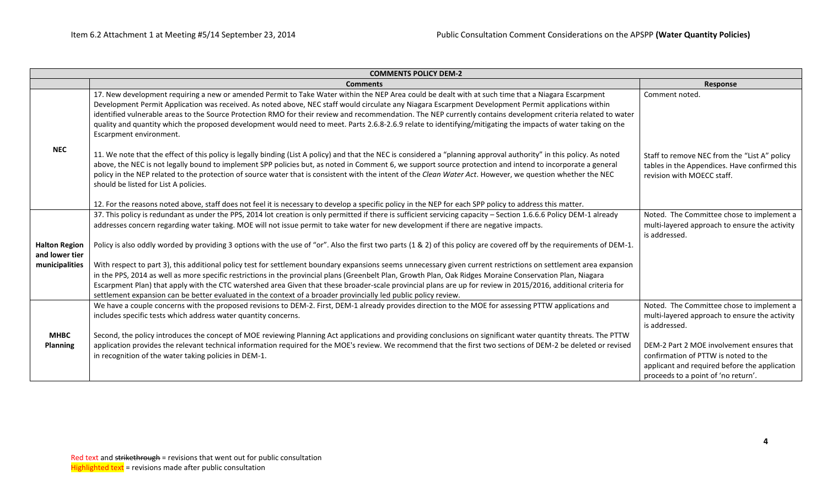|                                        | <b>COMMENTS POLICY DEM-2</b>                                                                                                                                                                                                                                                                                                                                                                                                                                                                                                                                                                                                                                             |                                                                                                                                                                           |
|----------------------------------------|--------------------------------------------------------------------------------------------------------------------------------------------------------------------------------------------------------------------------------------------------------------------------------------------------------------------------------------------------------------------------------------------------------------------------------------------------------------------------------------------------------------------------------------------------------------------------------------------------------------------------------------------------------------------------|---------------------------------------------------------------------------------------------------------------------------------------------------------------------------|
|                                        | <b>Comments</b>                                                                                                                                                                                                                                                                                                                                                                                                                                                                                                                                                                                                                                                          | Response                                                                                                                                                                  |
|                                        | 17. New development requiring a new or amended Permit to Take Water within the NEP Area could be dealt with at such time that a Niagara Escarpment<br>Development Permit Application was received. As noted above, NEC staff would circulate any Niagara Escarpment Development Permit applications within<br>identified vulnerable areas to the Source Protection RMO for their review and recommendation. The NEP currently contains development criteria related to water<br>quality and quantity which the proposed development would need to meet. Parts 2.6.8-2.6.9 relate to identifying/mitigating the impacts of water taking on the<br>Escarpment environment. | Comment noted.                                                                                                                                                            |
| <b>NEC</b>                             | 11. We note that the effect of this policy is legally binding (List A policy) and that the NEC is considered a "planning approval authority" in this policy. As noted<br>above, the NEC is not legally bound to implement SPP policies but, as noted in Comment 6, we support source protection and intend to incorporate a general<br>policy in the NEP related to the protection of source water that is consistent with the intent of the Clean Water Act. However, we question whether the NEC<br>should be listed for List A policies.                                                                                                                              | Staff to remove NEC from the "List A" policy<br>tables in the Appendices. Have confirmed this<br>revision with MOECC staff.                                               |
|                                        | 12. For the reasons noted above, staff does not feel it is necessary to develop a specific policy in the NEP for each SPP policy to address this matter.                                                                                                                                                                                                                                                                                                                                                                                                                                                                                                                 |                                                                                                                                                                           |
|                                        | 37. This policy is redundant as under the PPS, 2014 lot creation is only permitted if there is sufficient servicing capacity - Section 1.6.6.6 Policy DEM-1 already<br>addresses concern regarding water taking. MOE will not issue permit to take water for new development if there are negative impacts.                                                                                                                                                                                                                                                                                                                                                              | Noted. The Committee chose to implement a<br>multi-layered approach to ensure the activity<br>is addressed.                                                               |
| <b>Halton Region</b><br>and lower tier | Policy is also oddly worded by providing 3 options with the use of "or". Also the first two parts (1 & 2) of this policy are covered off by the requirements of DEM-1.                                                                                                                                                                                                                                                                                                                                                                                                                                                                                                   |                                                                                                                                                                           |
| municipalities                         | With respect to part 3), this additional policy test for settlement boundary expansions seems unnecessary given current restrictions on settlement area expansion<br>in the PPS, 2014 as well as more specific restrictions in the provincial plans (Greenbelt Plan, Growth Plan, Oak Ridges Moraine Conservation Plan, Niagara<br>Escarpment Plan) that apply with the CTC watershed area Given that these broader-scale provincial plans are up for review in 2015/2016, additional criteria for<br>settlement expansion can be better evaluated in the context of a broader provincially led public policy review.                                                    |                                                                                                                                                                           |
|                                        | We have a couple concerns with the proposed revisions to DEM-2. First, DEM-1 already provides direction to the MOE for assessing PTTW applications and<br>includes specific tests which address water quantity concerns.                                                                                                                                                                                                                                                                                                                                                                                                                                                 | Noted. The Committee chose to implement a<br>multi-layered approach to ensure the activity<br>is addressed.                                                               |
| <b>MHBC</b><br><b>Planning</b>         | Second, the policy introduces the concept of MOE reviewing Planning Act applications and providing conclusions on significant water quantity threats. The PTTW<br>application provides the relevant technical information required for the MOE's review. We recommend that the first two sections of DEM-2 be deleted or revised<br>in recognition of the water taking policies in DEM-1.                                                                                                                                                                                                                                                                                | DEM-2 Part 2 MOE involvement ensures that<br>confirmation of PTTW is noted to the<br>applicant and required before the application<br>proceeds to a point of 'no return'. |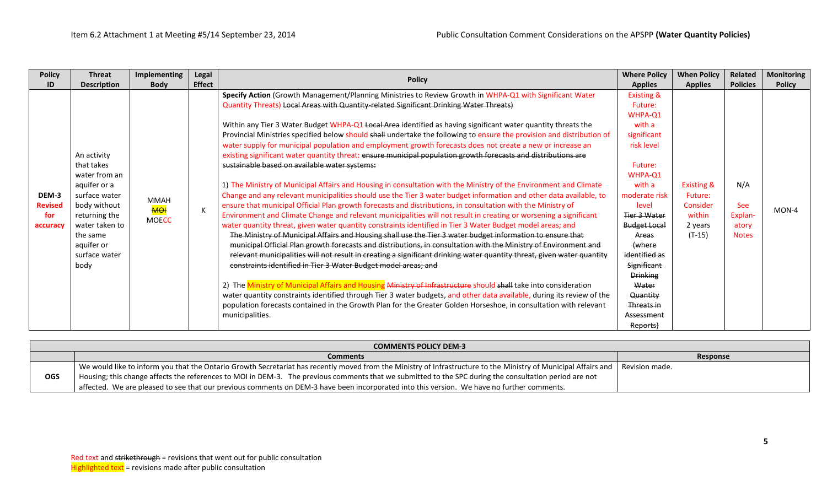|            | <b>COMMENTS POLICY DEM-3</b>                                                                                                                                           |                |  |  |  |  |  |
|------------|------------------------------------------------------------------------------------------------------------------------------------------------------------------------|----------------|--|--|--|--|--|
|            | <b>Comments</b>                                                                                                                                                        | Response       |  |  |  |  |  |
| <b>OGS</b> | We would like to inform you that the Ontario Growth Secretariat has recently moved from the Ministry of Infrastructure to the Ministry of Municipal Affairs and $\mid$ | Revision made. |  |  |  |  |  |
|            | Housing; this change affects the references to MOI in DEM-3. The previous comments that we submitted to the SPC during the consultation period are not                 |                |  |  |  |  |  |
|            | affected. We are pleased to see that our previous comments on DEM-3 have been incorporated into this version. We have no further comments.                             |                |  |  |  |  |  |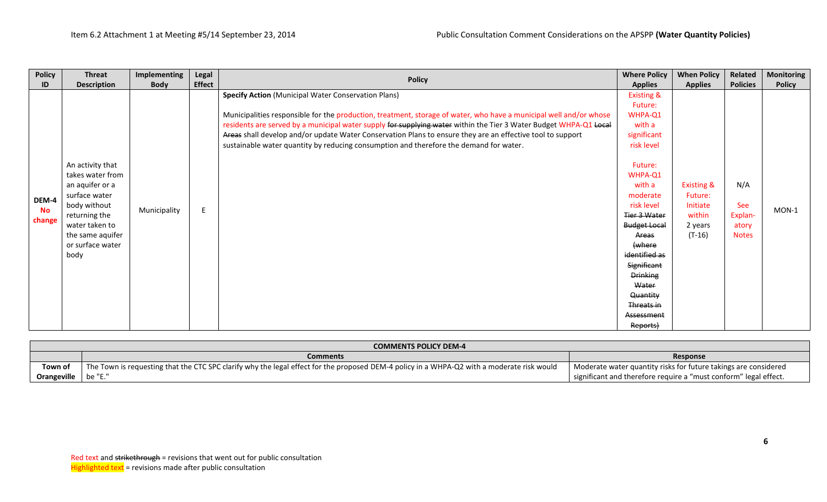| <b>Policy</b>                | <b>Threat</b>                                                                                                                                                               | Implementing | Legal         | <b>Policy</b>                                                                                                                                                                                                                                                                                                                                                                                                                                                                                                 | <b>Where Policy</b>                                                                                                                                                                                                                                                                                                    | <b>When Policy</b>                                                            | Related                                               | <b>Monitoring</b> |
|------------------------------|-----------------------------------------------------------------------------------------------------------------------------------------------------------------------------|--------------|---------------|---------------------------------------------------------------------------------------------------------------------------------------------------------------------------------------------------------------------------------------------------------------------------------------------------------------------------------------------------------------------------------------------------------------------------------------------------------------------------------------------------------------|------------------------------------------------------------------------------------------------------------------------------------------------------------------------------------------------------------------------------------------------------------------------------------------------------------------------|-------------------------------------------------------------------------------|-------------------------------------------------------|-------------------|
| ID                           | <b>Description</b>                                                                                                                                                          | <b>Body</b>  | <b>Effect</b> |                                                                                                                                                                                                                                                                                                                                                                                                                                                                                                               | <b>Applies</b>                                                                                                                                                                                                                                                                                                         | <b>Applies</b>                                                                | <b>Policies</b>                                       | <b>Policy</b>     |
| DEM-4<br><b>No</b><br>change | An activity that<br>takes water from<br>an aquifer or a<br>surface water<br>body without<br>returning the<br>water taken to<br>the same aquifer<br>or surface water<br>body | Municipality | E             | <b>Specify Action (Municipal Water Conservation Plans)</b><br>Municipalities responsible for the production, treatment, storage of water, who have a municipal well and/or whose<br>residents are served by a municipal water supply for supplying water within the Tier 3 Water Budget WHPA-Q1 Local<br>Areas shall develop and/or update Water Conservation Plans to ensure they are an effective tool to support<br>sustainable water quantity by reducing consumption and therefore the demand for water. | <b>Existing &amp;</b><br>Future:<br>WHPA-Q1<br>with a<br>significant<br>risk level<br>Future:<br>WHPA-Q1<br>with a<br>moderate<br>risk level<br>Tier 3 Water<br><b>Budget Local</b><br>Areas<br>(where<br>identified as<br>Significant<br><b>Drinking</b><br>Water<br>Quantity<br>Threats in<br>Assessment<br>Reports) | <b>Existing &amp;</b><br>Future:<br>Initiate<br>within<br>2 years<br>$(T-16)$ | N/A<br><b>See</b><br>Explan-<br>atory<br><b>Notes</b> | $MON-1$           |

|                              | <b>COMMENTS POLICY DEM-4</b>                                                                                                               |                                                                  |  |  |  |  |  |
|------------------------------|--------------------------------------------------------------------------------------------------------------------------------------------|------------------------------------------------------------------|--|--|--|--|--|
|                              | <b>Comments</b>                                                                                                                            | Response                                                         |  |  |  |  |  |
| Town of                      | The Town is requesting that the CTC SPC clarify why the legal effect for the proposed DEM-4 policy in a WHPA-Q2 with a moderate risk would | Moderate water quantity risks for future takings are considered  |  |  |  |  |  |
| <b>Orangeville</b>   be "E." |                                                                                                                                            | significant and therefore require a "must conform" legal effect. |  |  |  |  |  |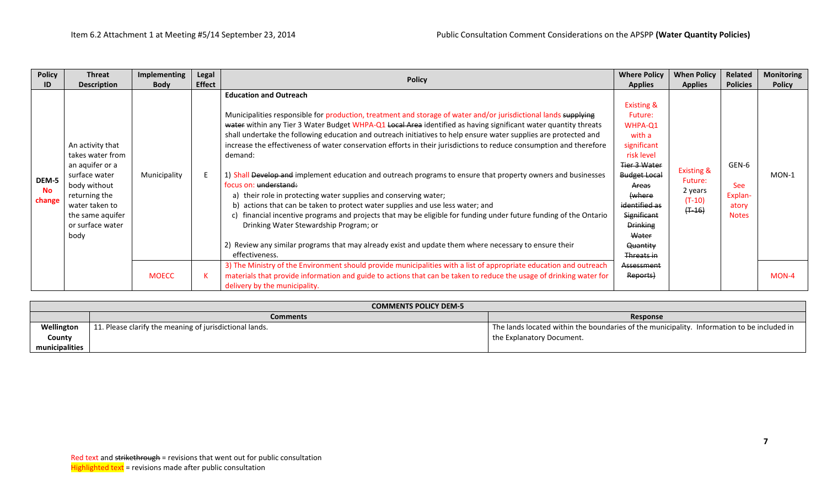| <b>Policy</b>                | Threat                                                                                                                                                                      | Implementing | Legal         |                                                                                                                                                                                                                                                                                                                                                                                                                                                                                                                                                                                                                                                                                                                                                                                                                                                                                                                                                                                                                                                                                                                    | <b>Where Policy</b>                                                                                                                                                                                                                       | <b>When Policy</b>                                                   | Related                                                 | <b>Monitoring</b> |
|------------------------------|-----------------------------------------------------------------------------------------------------------------------------------------------------------------------------|--------------|---------------|--------------------------------------------------------------------------------------------------------------------------------------------------------------------------------------------------------------------------------------------------------------------------------------------------------------------------------------------------------------------------------------------------------------------------------------------------------------------------------------------------------------------------------------------------------------------------------------------------------------------------------------------------------------------------------------------------------------------------------------------------------------------------------------------------------------------------------------------------------------------------------------------------------------------------------------------------------------------------------------------------------------------------------------------------------------------------------------------------------------------|-------------------------------------------------------------------------------------------------------------------------------------------------------------------------------------------------------------------------------------------|----------------------------------------------------------------------|---------------------------------------------------------|-------------------|
| ID                           | <b>Description</b>                                                                                                                                                          | <b>Body</b>  | <b>Effect</b> | <b>Policy</b>                                                                                                                                                                                                                                                                                                                                                                                                                                                                                                                                                                                                                                                                                                                                                                                                                                                                                                                                                                                                                                                                                                      | <b>Applies</b>                                                                                                                                                                                                                            | <b>Applies</b>                                                       | <b>Policies</b>                                         | <b>Policy</b>     |
| DEM-5<br><b>No</b><br>change | An activity that<br>takes water from<br>an aquifer or a<br>surface water<br>body without<br>returning the<br>water taken to<br>the same aquifer<br>or surface water<br>body | Municipality |               | <b>Education and Outreach</b><br>Municipalities responsible for production, treatment and storage of water and/or jurisdictional lands supplying<br>water within any Tier 3 Water Budget WHPA-Q1 Local Area identified as having significant water quantity threats<br>shall undertake the following education and outreach initiatives to help ensure water supplies are protected and<br>increase the effectiveness of water conservation efforts in their jurisdictions to reduce consumption and therefore<br>demand:<br>1) Shall Develop and implement education and outreach programs to ensure that property owners and businesses<br>focus on: understand:<br>a) their role in protecting water supplies and conserving water;<br>b) actions that can be taken to protect water supplies and use less water; and<br>c) financial incentive programs and projects that may be eligible for funding under future funding of the Ontario<br>Drinking Water Stewardship Program; or<br>2) Review any similar programs that may already exist and update them where necessary to ensure their<br>effectiveness. | <b>Existing &amp;</b><br>Future:<br>WHPA-Q1<br>with a<br>significant<br>risk level<br><b>Tier 3 Water</b><br><b>Budget Local</b><br>Areas<br>(where<br>identified as<br>Significant<br><b>Drinking</b><br>Water<br>Quantity<br>Threats in | <b>Existing &amp;</b><br>Future:<br>2 years<br>$(T-10)$<br>$(+ -16)$ | GEN-6<br><b>See</b><br>Explan-<br>atory<br><b>Notes</b> | MON-1             |
|                              |                                                                                                                                                                             | <b>MOECC</b> |               | 3) The Ministry of the Environment should provide municipalities with a list of appropriate education and outreach<br>materials that provide information and guide to actions that can be taken to reduce the usage of drinking water for<br>delivery by the municipality.                                                                                                                                                                                                                                                                                                                                                                                                                                                                                                                                                                                                                                                                                                                                                                                                                                         | Assessment<br>Reports)                                                                                                                                                                                                                    |                                                                      |                                                         | MON-4             |

|                | <b>COMMENTS POLICY DEM-5</b>                            |                                                                                            |  |  |  |  |  |  |
|----------------|---------------------------------------------------------|--------------------------------------------------------------------------------------------|--|--|--|--|--|--|
|                | <b>Comments</b>                                         | Response                                                                                   |  |  |  |  |  |  |
| Wellington     | 11. Please clarify the meaning of jurisdictional lands. | The lands located within the boundaries of the municipality. Information to be included in |  |  |  |  |  |  |
| County         |                                                         | I the Explanatory Document.                                                                |  |  |  |  |  |  |
| municipalities |                                                         |                                                                                            |  |  |  |  |  |  |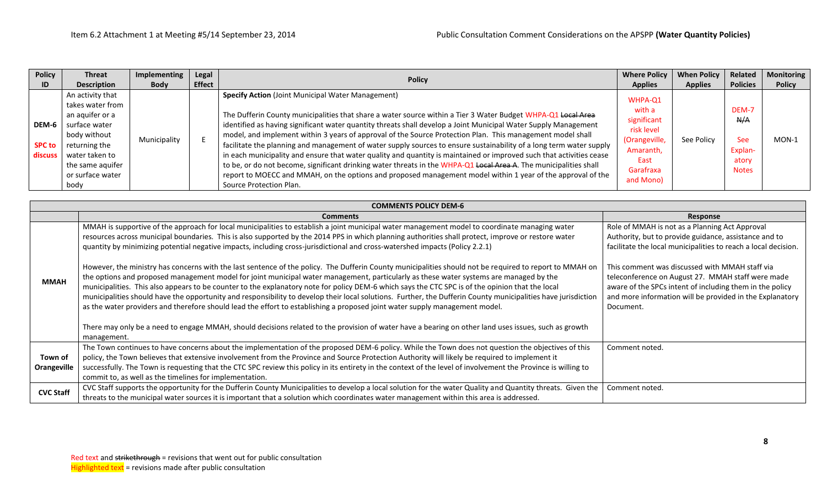| <b>Policy</b>                     | <b>Threat</b>                                                                                                                                                               | Implementing | <b>Legal</b>  |                                                                                                                                                                                                                                                                                                                                                                                                                                                                                                                                                                                                                                                                                                                                                                                                                                                                                                                         | <b>Where Policy</b>                                                                                            | <b>When Policy</b> | Related                                                        | Monitoring    |
|-----------------------------------|-----------------------------------------------------------------------------------------------------------------------------------------------------------------------------|--------------|---------------|-------------------------------------------------------------------------------------------------------------------------------------------------------------------------------------------------------------------------------------------------------------------------------------------------------------------------------------------------------------------------------------------------------------------------------------------------------------------------------------------------------------------------------------------------------------------------------------------------------------------------------------------------------------------------------------------------------------------------------------------------------------------------------------------------------------------------------------------------------------------------------------------------------------------------|----------------------------------------------------------------------------------------------------------------|--------------------|----------------------------------------------------------------|---------------|
| ID                                | <b>Description</b>                                                                                                                                                          | <b>Body</b>  | <b>Effect</b> | <b>Policy</b>                                                                                                                                                                                                                                                                                                                                                                                                                                                                                                                                                                                                                                                                                                                                                                                                                                                                                                           | <b>Applies</b>                                                                                                 | <b>Applies</b>     | <b>Policies</b>                                                | <b>Policy</b> |
| DEM-6<br><b>SPC to</b><br>discuss | An activity that<br>takes water from<br>an aquifer or a<br>surface water<br>body without<br>returning the<br>water taken to<br>the same aguifer<br>or surface water<br>body | Municipality |               | <b>Specify Action (Joint Municipal Water Management)</b><br>The Dufferin County municipalities that share a water source within a Tier 3 Water Budget WHPA-Q1 Local Area<br>identified as having significant water quantity threats shall develop a Joint Municipal Water Supply Management<br>model, and implement within 3 years of approval of the Source Protection Plan. This management model shall<br>facilitate the planning and management of water supply sources to ensure sustainability of a long term water supply<br>in each municipality and ensure that water quality and quantity is maintained or improved such that activities cease<br>to be, or do not become, significant drinking water threats in the WHPA-Q1 Local Area A. The municipalities shall<br>report to MOECC and MMAH, on the options and proposed management model within 1 year of the approval of the<br>Source Protection Plan. | WHPA-Q1<br>with a<br>significant<br>risk level<br>(Orangeville,<br>Amaranth,<br>East<br>Garafraxa<br>and Mono) | See Policy         | DEM-7<br>N/A<br><b>See</b><br>Explan-<br>atory<br><b>Notes</b> | $MON-1$       |

|                        | <b>COMMENTS POLICY DEM-6</b>                                                                                                                                                                                                                                                                                                                                                                                                                                                                                                                                                                                                                                                                                                                                      |                                                                                                                                                                                                                             |  |  |  |  |  |  |  |  |  |
|------------------------|-------------------------------------------------------------------------------------------------------------------------------------------------------------------------------------------------------------------------------------------------------------------------------------------------------------------------------------------------------------------------------------------------------------------------------------------------------------------------------------------------------------------------------------------------------------------------------------------------------------------------------------------------------------------------------------------------------------------------------------------------------------------|-----------------------------------------------------------------------------------------------------------------------------------------------------------------------------------------------------------------------------|--|--|--|--|--|--|--|--|--|
|                        | <b>Comments</b>                                                                                                                                                                                                                                                                                                                                                                                                                                                                                                                                                                                                                                                                                                                                                   | Response                                                                                                                                                                                                                    |  |  |  |  |  |  |  |  |  |
| <b>MMAH</b>            | MMAH is supportive of the approach for local municipalities to establish a joint municipal water management model to coordinate managing water<br>resources across municipal boundaries. This is also supported by the 2014 PPS in which planning authorities shall protect, improve or restore water<br>quantity by minimizing potential negative impacts, including cross-jurisdictional and cross-watershed impacts (Policy 2.2.1)<br>However, the ministry has concerns with the last sentence of the policy. The Dufferin County municipalities should not be required to report to MMAH on                                                                                                                                                                  | Role of MMAH is not as a Planning Act Approval<br>Authority, but to provide guidance, assistance and to<br>facilitate the local municipalities to reach a local decision.<br>This comment was discussed with MMAH staff via |  |  |  |  |  |  |  |  |  |
|                        | the options and proposed management model for joint municipal water management, particularly as these water systems are managed by the<br>municipalities. This also appears to be counter to the explanatory note for policy DEM-6 which says the CTC SPC is of the opinion that the local<br>municipalities should have the opportunity and responsibility to develop their local solutions. Further, the Dufferin County municipalities have jurisdiction<br>as the water providers and therefore should lead the effort to establishing a proposed joint water supply management model.<br>There may only be a need to engage MMAH, should decisions related to the provision of water have a bearing on other land uses issues, such as growth<br>management. | teleconference on August 27. MMAH staff were made<br>aware of the SPCs intent of including them in the policy<br>and more information will be provided in the Explanatory<br>Document.                                      |  |  |  |  |  |  |  |  |  |
| Town of<br>Orangeville | The Town continues to have concerns about the implementation of the proposed DEM-6 policy. While the Town does not question the objectives of this<br>policy, the Town believes that extensive involvement from the Province and Source Protection Authority will likely be required to implement it<br>successfully. The Town is requesting that the CTC SPC review this policy in its entirety in the context of the level of involvement the Province is willing to<br>commit to, as well as the timelines for implementation.                                                                                                                                                                                                                                 | Comment noted.                                                                                                                                                                                                              |  |  |  |  |  |  |  |  |  |
| <b>CVC Staff</b>       | CVC Staff supports the opportunity for the Dufferin County Municipalities to develop a local solution for the water Quality and Quantity threats. Given the<br>threats to the municipal water sources it is important that a solution which coordinates water management within this area is addressed.                                                                                                                                                                                                                                                                                                                                                                                                                                                           | Comment noted.                                                                                                                                                                                                              |  |  |  |  |  |  |  |  |  |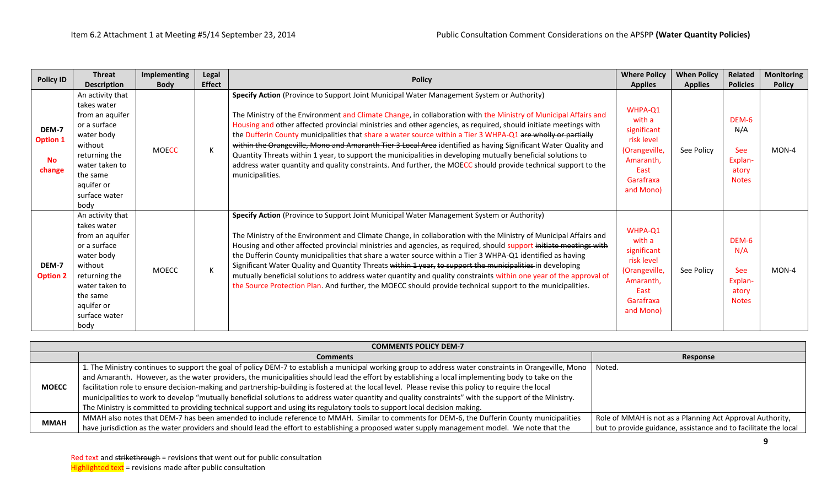|                                                 | <b>Threat</b>                                                                                                                                                                     | <b>Implementing</b> | Legal         |                                                                                                                                                                                                                                                                                                                                                                                                                                                                                                                                                                                                                                                                                                                                                                                                                        | <b>Where Policy</b>                                                                                            | <b>When Policy</b> | Related                                                        | <b>Monitoring</b> |
|-------------------------------------------------|-----------------------------------------------------------------------------------------------------------------------------------------------------------------------------------|---------------------|---------------|------------------------------------------------------------------------------------------------------------------------------------------------------------------------------------------------------------------------------------------------------------------------------------------------------------------------------------------------------------------------------------------------------------------------------------------------------------------------------------------------------------------------------------------------------------------------------------------------------------------------------------------------------------------------------------------------------------------------------------------------------------------------------------------------------------------------|----------------------------------------------------------------------------------------------------------------|--------------------|----------------------------------------------------------------|-------------------|
| <b>Policy ID</b>                                | <b>Description</b>                                                                                                                                                                | <b>Body</b>         | <b>Effect</b> | <b>Policy</b>                                                                                                                                                                                                                                                                                                                                                                                                                                                                                                                                                                                                                                                                                                                                                                                                          | <b>Applies</b>                                                                                                 | <b>Applies</b>     | <b>Policies</b>                                                | <b>Policy</b>     |
| DEM-7<br><b>Option 1</b><br><b>No</b><br>change | An activity that<br>takes water<br>from an aquifer<br>or a surface<br>water body<br>without<br>returning the<br>water taken to<br>the same<br>aquifer or<br>surface water<br>body | <b>MOECC</b>        | К             | Specify Action (Province to Support Joint Municipal Water Management System or Authority)<br>The Ministry of the Environment and Climate Change, in collaboration with the Ministry of Municipal Affairs and<br>Housing and other affected provincial ministries and other agencies, as required, should initiate meetings with<br>the Dufferin County municipalities that share a water source within a Tier 3 WHPA-Q1 are wholly or partially<br>within the Orangeville, Mono and Amaranth Tier 3 Local Area identified as having Significant Water Quality and<br>Quantity Threats within 1 year, to support the municipalities in developing mutually beneficial solutions to<br>address water quantity and quality constraints. And further, the MOECC should provide technical support to the<br>municipalities. | WHPA-Q1<br>with a<br>significant<br>risk level<br>(Orangeville,<br>Amaranth,<br>East<br>Garafraxa<br>and Mono) | See Policy         | DEM-6<br>N/A<br><b>See</b><br>Explan-<br>atory<br><b>Notes</b> | $MON-4$           |
| DEM-7<br><b>Option 2</b>                        | An activity that<br>takes water<br>from an aquifer<br>or a surface<br>water body<br>without<br>returning the<br>water taken to<br>the same<br>aquifer or<br>surface water<br>body | <b>MOECC</b>        | K             | Specify Action (Province to Support Joint Municipal Water Management System or Authority)<br>The Ministry of the Environment and Climate Change, in collaboration with the Ministry of Municipal Affairs and<br>Housing and other affected provincial ministries and agencies, as required, should support initiate meetings with<br>the Dufferin County municipalities that share a water source within a Tier 3 WHPA-Q1 identified as having<br>Significant Water Quality and Quantity Threats within 1 year, to support the municipalities in developing<br>mutually beneficial solutions to address water quantity and quality constraints within one year of the approval of<br>the Source Protection Plan. And further, the MOECC should provide technical support to the municipalities.                        | WHPA-Q1<br>with a<br>significant<br>risk level<br>(Orangeville,<br>Amaranth,<br>East<br>Garafraxa<br>and Mono) | See Policy         | DEM-6<br>N/A<br><b>See</b><br>Explan-<br>atory<br><b>Notes</b> | MON-4             |

|              | <b>COMMENTS POLICY DEM-7</b>                                                                                                                           |                                                                 |
|--------------|--------------------------------------------------------------------------------------------------------------------------------------------------------|-----------------------------------------------------------------|
|              | <b>Comments</b>                                                                                                                                        | Response                                                        |
| <b>MOECC</b> | 1. The Ministry continues to support the goal of policy DEM-7 to establish a municipal working group to address water constraints in Orangeville, Mono | Noted.                                                          |
|              | and Amaranth. However, as the water providers, the municipalities should lead the effort by establishing a local implementing body to take on the      |                                                                 |
|              | facilitation role to ensure decision-making and partnership-building is fostered at the local level. Please revise this policy to require the local    |                                                                 |
|              | municipalities to work to develop "mutually beneficial solutions to address water quantity and quality constraints" with the support of the Ministry.  |                                                                 |
|              | The Ministry is committed to providing technical support and using its regulatory tools to support local decision making.                              |                                                                 |
| <b>MMAH</b>  | MMAH also notes that DEM-7 has been amended to include reference to MMAH. Similar to comments for DEM-6, the Dufferin County municipalities            | Role of MMAH is not as a Planning Act Approval Authority,       |
|              | have jurisdiction as the water providers and should lead the effort to establishing a proposed water supply management model. We note that the         | but to provide guidance, assistance and to facilitate the local |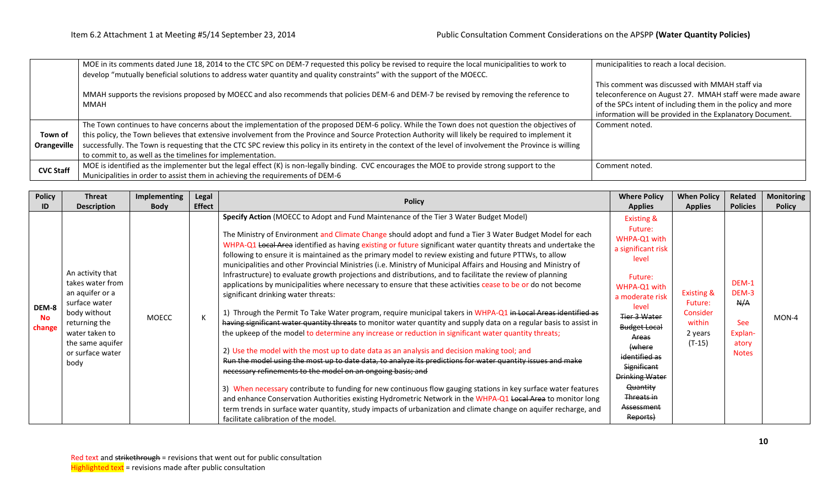|                  | MOE in its comments dated June 18, 2014 to the CTC SPC on DEM-7 requested this policy be revised to require the local municipalities to work to             | municipalities to reach a local decision.                   |
|------------------|-------------------------------------------------------------------------------------------------------------------------------------------------------------|-------------------------------------------------------------|
|                  | develop "mutually beneficial solutions to address water quantity and quality constraints" with the support of the MOECC.                                    |                                                             |
|                  |                                                                                                                                                             | This comment was discussed with MMAH staff via              |
|                  | MMAH supports the revisions proposed by MOECC and also recommends that policies DEM-6 and DEM-7 be revised by removing the reference to                     | teleconference on August 27. MMAH staff were made aware     |
|                  | MMAH                                                                                                                                                        | of the SPCs intent of including them in the policy and more |
|                  |                                                                                                                                                             | information will be provided in the Explanatory Document.   |
|                  | The Town continues to have concerns about the implementation of the proposed DEM-6 policy. While the Town does not question the objectives of               | Comment noted.                                              |
| Town of          | this policy, the Town believes that extensive involvement from the Province and Source Protection Authority will likely be required to implement it         |                                                             |
| Orangeville      | successfully. The Town is requesting that the CTC SPC review this policy in its entirety in the context of the level of involvement the Province is willing |                                                             |
|                  | to commit to, as well as the timelines for implementation.                                                                                                  |                                                             |
| <b>CVC Staff</b> | MOE is identified as the implementer but the legal effect (K) is non-legally binding. CVC encourages the MOE to provide strong support to the               | Comment noted.                                              |
|                  | Municipalities in order to assist them in achieving the requirements of DEM-6                                                                               |                                                             |

| <b>Policy</b>                | <b>Threat</b>                                                                                                                                                               | Implementing | Legal         | <b>Policy</b>                                                                                                                                                                                                                                                                                                                                                                                                                                                                                                                                                                                                                                                                                                                                                                                                                                                                                                                                                                                                                                                                                                                                                                                                                                                                                                                                                                                                                                                                                                                                                                                                                                                                                                                                                                                                                                     | <b>Where Policy</b>                                                                                                                                                                                                                                                                                           | <b>When Policy</b>                                                            | <b>Related</b>                                                          | Monitoring    |
|------------------------------|-----------------------------------------------------------------------------------------------------------------------------------------------------------------------------|--------------|---------------|---------------------------------------------------------------------------------------------------------------------------------------------------------------------------------------------------------------------------------------------------------------------------------------------------------------------------------------------------------------------------------------------------------------------------------------------------------------------------------------------------------------------------------------------------------------------------------------------------------------------------------------------------------------------------------------------------------------------------------------------------------------------------------------------------------------------------------------------------------------------------------------------------------------------------------------------------------------------------------------------------------------------------------------------------------------------------------------------------------------------------------------------------------------------------------------------------------------------------------------------------------------------------------------------------------------------------------------------------------------------------------------------------------------------------------------------------------------------------------------------------------------------------------------------------------------------------------------------------------------------------------------------------------------------------------------------------------------------------------------------------------------------------------------------------------------------------------------------------|---------------------------------------------------------------------------------------------------------------------------------------------------------------------------------------------------------------------------------------------------------------------------------------------------------------|-------------------------------------------------------------------------------|-------------------------------------------------------------------------|---------------|
| ID                           | <b>Description</b>                                                                                                                                                          | <b>Body</b>  | <b>Effect</b> |                                                                                                                                                                                                                                                                                                                                                                                                                                                                                                                                                                                                                                                                                                                                                                                                                                                                                                                                                                                                                                                                                                                                                                                                                                                                                                                                                                                                                                                                                                                                                                                                                                                                                                                                                                                                                                                   | <b>Applies</b>                                                                                                                                                                                                                                                                                                | <b>Applies</b>                                                                | <b>Policies</b>                                                         | <b>Policy</b> |
| DEM-8<br><b>No</b><br>change | An activity that<br>takes water from<br>an aquifer or a<br>surface water<br>body without<br>returning the<br>water taken to<br>the same aquifer<br>or surface water<br>body | <b>MOECC</b> |               | Specify Action (MOECC to Adopt and Fund Maintenance of the Tier 3 Water Budget Model)<br>The Ministry of Environment and Climate Change should adopt and fund a Tier 3 Water Budget Model for each<br>WHPA-Q1 Local Area identified as having existing or future significant water quantity threats and undertake the<br>following to ensure it is maintained as the primary model to review existing and future PTTWs, to allow<br>municipalities and other Provincial Ministries (i.e. Ministry of Municipal Affairs and Housing and Ministry of<br>Infrastructure) to evaluate growth projections and distributions, and to facilitate the review of planning<br>applications by municipalities where necessary to ensure that these activities cease to be or do not become<br>significant drinking water threats:<br>1) Through the Permit To Take Water program, require municipal takers in WHPA-Q1 in Local Areas identified as<br>having significant water quantity threats to monitor water quantity and supply data on a regular basis to assist in<br>the upkeep of the model to determine any increase or reduction in significant water quantity threats;<br>2) Use the model with the most up to date data as an analysis and decision making tool; and<br>Run the model using the most up to date data, to analyze its predictions for water quantity issues and make<br>necessary refinements to the model on an ongoing basis; and<br>3) When necessary contribute to funding for new continuous flow gauging stations in key surface water features<br>and enhance Conservation Authorities existing Hydrometric Network in the WHPA-Q1 Local Area to monitor long<br>term trends in surface water quantity, study impacts of urbanization and climate change on aquifer recharge, and<br>facilitate calibration of the model. | <b>Existing &amp;</b><br>Future:<br>WHPA-Q1 with<br>a significant risk<br>level<br>Future:<br>WHPA-Q1 with<br>a moderate risk<br>level<br>Tier 3 Water<br><b>Budget Local</b><br>Areas<br>(where<br>identified as<br>Significant<br><b>Drinking Water</b><br>Quantity<br>Threats in<br>Assessment<br>Reports) | <b>Existing &amp;</b><br>Future:<br>Consider<br>within<br>2 years<br>$(T-15)$ | DEM-1<br>DEM-3<br>N/A<br><b>See</b><br>Explan-<br>atory<br><b>Notes</b> | MON-4         |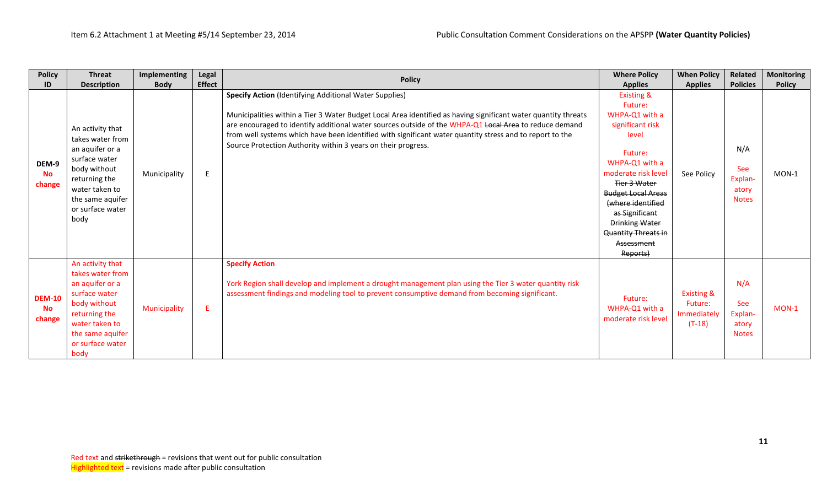| <b>Policy</b>                        | <b>Threat</b>                                                                                                                                                               | Implementing | Legal         | <b>Policy</b>                                                                                                                                                                                                                                                                                                                                                                                                                                                          | <b>Where Policy</b>                                                                                                                                                                                                                                                                                      | <b>When Policy</b>                                          | <b>Related</b>                                        | <b>Monitoring</b> |
|--------------------------------------|-----------------------------------------------------------------------------------------------------------------------------------------------------------------------------|--------------|---------------|------------------------------------------------------------------------------------------------------------------------------------------------------------------------------------------------------------------------------------------------------------------------------------------------------------------------------------------------------------------------------------------------------------------------------------------------------------------------|----------------------------------------------------------------------------------------------------------------------------------------------------------------------------------------------------------------------------------------------------------------------------------------------------------|-------------------------------------------------------------|-------------------------------------------------------|-------------------|
| ID                                   | <b>Description</b>                                                                                                                                                          | <b>Body</b>  | <b>Effect</b> |                                                                                                                                                                                                                                                                                                                                                                                                                                                                        | <b>Applies</b>                                                                                                                                                                                                                                                                                           | <b>Applies</b>                                              | <b>Policies</b>                                       | <b>Policy</b>     |
| DEM-9<br><b>No</b><br>change         | An activity that<br>takes water from<br>an aquifer or a<br>surface water<br>body without<br>returning the<br>water taken to<br>the same aquifer<br>or surface water<br>body | Municipality | E             | <b>Specify Action (Identifying Additional Water Supplies)</b><br>Municipalities within a Tier 3 Water Budget Local Area identified as having significant water quantity threats<br>are encouraged to identify additional water sources outside of the WHPA-Q1 Local Area to reduce demand<br>from well systems which have been identified with significant water quantity stress and to report to the<br>Source Protection Authority within 3 years on their progress. | <b>Existing &amp;</b><br>Future:<br>WHPA-Q1 with a<br>significant risk<br>level<br>Future:<br>WHPA-Q1 with a<br>moderate risk level<br><b>Tier 3 Water</b><br><b>Budget Local Areas</b><br>(where identified<br>as Significant<br><b>Drinking Water</b><br>Quantity Threats in<br>Assessment<br>Reports) | See Policy                                                  | N/A<br>See<br>Explan-<br>atory<br><b>Notes</b>        | MON-1             |
| <b>DEM-10</b><br><b>No</b><br>change | An activity that<br>takes water from<br>an aquifer or a<br>surface water<br>body without<br>returning the<br>water taken to<br>the same aquifer<br>or surface water<br>body | Municipality | E             | <b>Specify Action</b><br>York Region shall develop and implement a drought management plan using the Tier 3 water quantity risk<br>assessment findings and modeling tool to prevent consumptive demand from becoming significant.                                                                                                                                                                                                                                      | Future:<br>WHPA-Q1 with a<br>moderate risk level                                                                                                                                                                                                                                                         | <b>Existing &amp;</b><br>Future:<br>Immediately<br>$(T-18)$ | N/A<br><b>See</b><br>Explan-<br>atory<br><b>Notes</b> | $MON-1$           |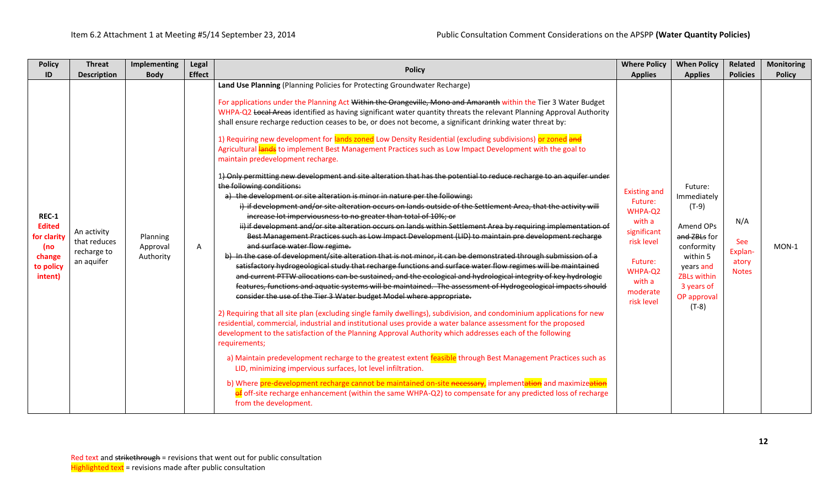| <b>Policy</b>                                                                         | <b>Threat</b>                                            | <b>Implementing</b>               | Legal         | <b>Policy</b>                                                                                                                                                                                                                                                                                                                                                                                                                                                                                                                                                                                                                                                                                                                                                                                                                                                                                                                                                                                                                                                                                                                                                                                                                                                                                                                                                                                                                                                                                                                                                                                                                                                                                                                                                                                                                                                                                                                                                                                                                                                                                                                                                                                                                                                                                                                                                                                                                                                                                                                                                                                                                                                                                                                                                    | <b>Where Policy</b>                                                                                                                        | <b>When Policy</b>                                                                                                                                           | Related                                        | <b>Monitoring</b> |
|---------------------------------------------------------------------------------------|----------------------------------------------------------|-----------------------------------|---------------|------------------------------------------------------------------------------------------------------------------------------------------------------------------------------------------------------------------------------------------------------------------------------------------------------------------------------------------------------------------------------------------------------------------------------------------------------------------------------------------------------------------------------------------------------------------------------------------------------------------------------------------------------------------------------------------------------------------------------------------------------------------------------------------------------------------------------------------------------------------------------------------------------------------------------------------------------------------------------------------------------------------------------------------------------------------------------------------------------------------------------------------------------------------------------------------------------------------------------------------------------------------------------------------------------------------------------------------------------------------------------------------------------------------------------------------------------------------------------------------------------------------------------------------------------------------------------------------------------------------------------------------------------------------------------------------------------------------------------------------------------------------------------------------------------------------------------------------------------------------------------------------------------------------------------------------------------------------------------------------------------------------------------------------------------------------------------------------------------------------------------------------------------------------------------------------------------------------------------------------------------------------------------------------------------------------------------------------------------------------------------------------------------------------------------------------------------------------------------------------------------------------------------------------------------------------------------------------------------------------------------------------------------------------------------------------------------------------------------------------------------------------|--------------------------------------------------------------------------------------------------------------------------------------------|--------------------------------------------------------------------------------------------------------------------------------------------------------------|------------------------------------------------|-------------------|
| ID                                                                                    | <b>Description</b>                                       | <b>Body</b>                       | <b>Effect</b> |                                                                                                                                                                                                                                                                                                                                                                                                                                                                                                                                                                                                                                                                                                                                                                                                                                                                                                                                                                                                                                                                                                                                                                                                                                                                                                                                                                                                                                                                                                                                                                                                                                                                                                                                                                                                                                                                                                                                                                                                                                                                                                                                                                                                                                                                                                                                                                                                                                                                                                                                                                                                                                                                                                                                                                  | <b>Applies</b>                                                                                                                             | <b>Applies</b>                                                                                                                                               | <b>Policies</b>                                | <b>Policy</b>     |
| <b>REC-1</b><br><b>Edited</b><br>for clarity<br>(no<br>change<br>to policy<br>intent) | An activity<br>that reduces<br>recharge to<br>an aquifer | Planning<br>Approval<br>Authority | A             | Land Use Planning (Planning Policies for Protecting Groundwater Recharge)<br>For applications under the Planning Act Within the Orangeville, Mono and Amaranth within the Tier 3 Water Budget<br>WHPA-Q2 Local Areas identified as having significant water quantity threats the relevant Planning Approval Authority<br>shall ensure recharge reduction ceases to be, or does not become, a significant drinking water threat by:<br>1) Requiring new development for lands zoned Low Density Residential (excluding subdivisions) or zoned and<br>Agricultural lands to implement Best Management Practices such as Low Impact Development with the goal to<br>maintain predevelopment recharge.<br>1) Only permitting new development and site alteration that has the potential to reduce recharge to an aquifer under<br>the following conditions:<br>a) the development or site alteration is minor in nature per the following:<br>i) if development and/or site alteration occurs on lands outside of the Settlement Area, that the activity will<br>increase lot imperviousness to no greater than total of 10%; or<br>ii) if development and/or site alteration occurs on lands within Settlement Area by requiring implementation of<br>Best Management Practices such as Low Impact Development (LID) to maintain pre development recharge<br>and surface water flow regime.<br>b) In the case of development/site alteration that is not minor, it can be demonstrated through submission of a<br>satisfactory hydrogeological study that recharge functions and surface water flow regimes will be maintained<br>and current PTTW allocations can be sustained, and the ecological and hydrological integrity of key hydrologic<br>features, functions and aquatic systems will be maintained. The assessment of Hydrogeological impacts should<br>consider the use of the Tier 3 Water budget Model where appropriate.<br>2) Requiring that all site plan (excluding single family dwellings), subdivision, and condominium applications for new<br>residential, commercial, industrial and institutional uses provide a water balance assessment for the proposed<br>development to the satisfaction of the Planning Approval Authority which addresses each of the following<br>requirements;<br>a) Maintain predevelopment recharge to the greatest extent feasible through Best Management Practices such as<br>LID, minimizing impervious surfaces, lot level infiltration.<br>b) Where pre-development recharge cannot be maintained on-site necessary, implementation and maximizeation<br>$\frac{1}{2}$ off-site recharge enhancement (within the same WHPA-Q2) to compensate for any predicted loss of recharge<br>from the development. | <b>Existing and</b><br>Future:<br>WHPA-Q2<br>with a<br>significant<br>risk level<br>Future:<br>WHPA-Q2<br>with a<br>moderate<br>risk level | Future:<br>Immediately<br>$(T-9)$<br>Amend OPs<br>and ZBLs for<br>conformity<br>within 5<br>years and<br>ZBLs within<br>3 years of<br>OP approval<br>$(T-8)$ | N/A<br>See<br>Explan-<br>atory<br><b>Notes</b> | MON-1             |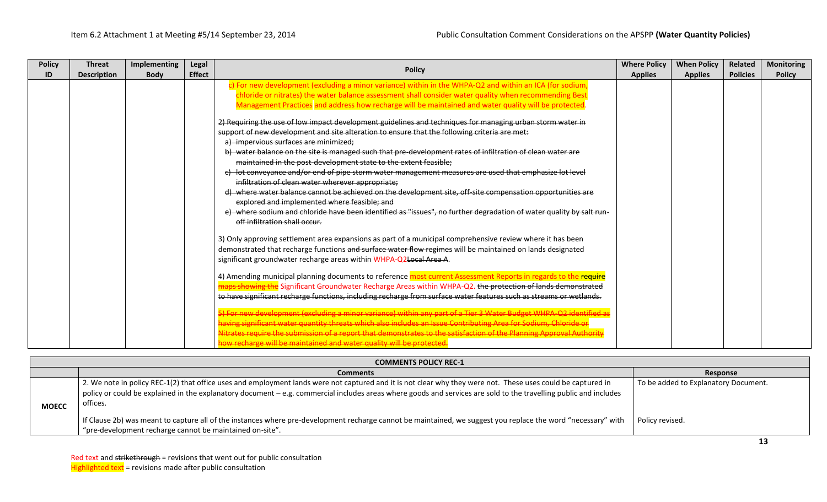| <b>Policy</b> | <b>Threat</b>      | <b>Implementing</b> | Legal         | <b>Policy</b>                                                                                                                                        | <b>Where Policy</b> | <b>When Policy</b> | Related         | <b>Monitoring</b> |
|---------------|--------------------|---------------------|---------------|------------------------------------------------------------------------------------------------------------------------------------------------------|---------------------|--------------------|-----------------|-------------------|
| ID            | <b>Description</b> | <b>Body</b>         | <b>Effect</b> |                                                                                                                                                      | <b>Applies</b>      | <b>Applies</b>     | <b>Policies</b> | <b>Policy</b>     |
|               |                    |                     |               | c) For new development (excluding a minor variance) within in the WHPA-Q2 and within an ICA (for sodium,                                             |                     |                    |                 |                   |
|               |                    |                     |               | chloride or nitrates) the water balance assessment shall consider water quality when recommending Best                                               |                     |                    |                 |                   |
|               |                    |                     |               | Management Practices and address how recharge will be maintained and water quality will be protected.                                                |                     |                    |                 |                   |
|               |                    |                     |               | 2) Requiring the use of low impact development guidelines and techniques for managing urban storm water in                                           |                     |                    |                 |                   |
|               |                    |                     |               | support of new development and site alteration to ensure that the following criteria are met:                                                        |                     |                    |                 |                   |
|               |                    |                     |               | a) impervious surfaces are minimized;                                                                                                                |                     |                    |                 |                   |
|               |                    |                     |               | b) water balance on the site is managed such that pre-development rates of infiltration of clean water are                                           |                     |                    |                 |                   |
|               |                    |                     |               | maintained in the post-development state to the extent feasible;                                                                                     |                     |                    |                 |                   |
|               |                    |                     |               | c) lot conveyance and/or end of pipe storm water management measures are used that emphasize lot level                                               |                     |                    |                 |                   |
|               |                    |                     |               | infiltration of clean water wherever appropriate;                                                                                                    |                     |                    |                 |                   |
|               |                    |                     |               | d) where water balance cannot be achieved on the development site, off-site compensation opportunities are                                           |                     |                    |                 |                   |
|               |                    |                     |               | explored and implemented where feasible; and                                                                                                         |                     |                    |                 |                   |
|               |                    |                     |               | e) where sodium and chloride have been identified as "issues", no further degradation of water quality by salt run-<br>off infiltration shall occur. |                     |                    |                 |                   |
|               |                    |                     |               |                                                                                                                                                      |                     |                    |                 |                   |
|               |                    |                     |               | 3) Only approving settlement area expansions as part of a municipal comprehensive review where it has been                                           |                     |                    |                 |                   |
|               |                    |                     |               | demonstrated that recharge functions and surface water flow regimes will be maintained on lands designated                                           |                     |                    |                 |                   |
|               |                    |                     |               | significant groundwater recharge areas within WHPA-Q2Local Area A.                                                                                   |                     |                    |                 |                   |
|               |                    |                     |               | 4) Amending municipal planning documents to reference most current Assessment Reports in regards to the require                                      |                     |                    |                 |                   |
|               |                    |                     |               | <del>ps showing the</del> Significant Groundwater Recharge Areas within WHPA-Q2. <del>the protection of lands demonstrated</del>                     |                     |                    |                 |                   |
|               |                    |                     |               | to have significant recharge functions, including recharge from surface water features such as streams or wetlands.                                  |                     |                    |                 |                   |
|               |                    |                     |               | 5) For new development (excluding a minor variance) within any part of a Tier 3 Water Budget WHPA-Q2 identified as                                   |                     |                    |                 |                   |
|               |                    |                     |               | ng significant water quantity threats which also includes an Issue Contributing Area for Sodium, Chloride or                                         |                     |                    |                 |                   |
|               |                    |                     |               | Nitrates require the submission of a report that demonstrates to the satisfaction of the Planning Approval Authority                                 |                     |                    |                 |                   |
|               |                    |                     |               | how recharge will be maintained and water quality will be protected.                                                                                 |                     |                    |                 |                   |

|              | <b>COMMENTS POLICY REC-1</b>                                                                                                                                                                                                                                                                                                                  |                                      |  |  |  |  |  |  |  |  |  |
|--------------|-----------------------------------------------------------------------------------------------------------------------------------------------------------------------------------------------------------------------------------------------------------------------------------------------------------------------------------------------|--------------------------------------|--|--|--|--|--|--|--|--|--|
|              | <b>Comments</b>                                                                                                                                                                                                                                                                                                                               | Response                             |  |  |  |  |  |  |  |  |  |
| <b>MOECC</b> | 2. We note in policy REC-1(2) that office uses and employment lands were not captured and it is not clear why they were not. These uses could be captured in<br>policy or could be explained in the explanatory document – e.g. commercial includes areas where goods and services are sold to the travelling public and includes<br>offices. | To be added to Explanatory Document. |  |  |  |  |  |  |  |  |  |
|              | If Clause 2b) was meant to capture all of the instances where pre-development recharge cannot be maintained, we suggest you replace the word "necessary" with<br>"pre-development recharge cannot be maintained on-site".                                                                                                                     | Policy revised.                      |  |  |  |  |  |  |  |  |  |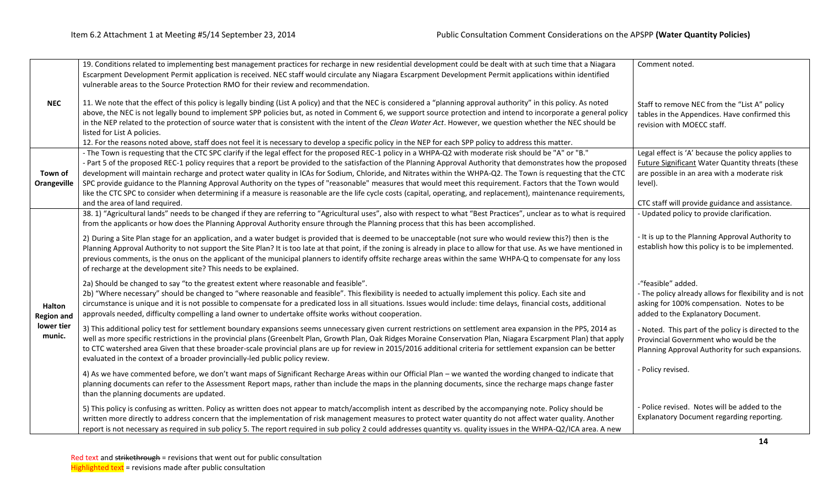|                                    | 19. Conditions related to implementing best management practices for recharge in new residential development could be dealt with at such time that a Niagara<br>Escarpment Development Permit application is received. NEC staff would circulate any Niagara Escarpment Development Permit applications within identified<br>vulnerable areas to the Source Protection RMO for their review and recommendation.                                                                                                                                                                                                                                                                                                                                                                                                                                                           | Comment noted.                                                                                                                                                                                                             |
|------------------------------------|---------------------------------------------------------------------------------------------------------------------------------------------------------------------------------------------------------------------------------------------------------------------------------------------------------------------------------------------------------------------------------------------------------------------------------------------------------------------------------------------------------------------------------------------------------------------------------------------------------------------------------------------------------------------------------------------------------------------------------------------------------------------------------------------------------------------------------------------------------------------------|----------------------------------------------------------------------------------------------------------------------------------------------------------------------------------------------------------------------------|
| <b>NEC</b>                         | 11. We note that the effect of this policy is legally binding (List A policy) and that the NEC is considered a "planning approval authority" in this policy. As noted<br>above, the NEC is not legally bound to implement SPP policies but, as noted in Comment 6, we support source protection and intend to incorporate a general policy<br>in the NEP related to the protection of source water that is consistent with the intent of the Clean Water Act. However, we question whether the NEC should be<br>listed for List A policies.<br>12. For the reasons noted above, staff does not feel it is necessary to develop a specific policy in the NEP for each SPP policy to address this matter.                                                                                                                                                                   | Staff to remove NEC from the "List A" policy<br>tables in the Appendices. Have confirmed this<br>revision with MOECC staff.                                                                                                |
| Town of<br><b>Orangeville</b>      | - The Town is requesting that the CTC SPC clarify if the legal effect for the proposed REC-1 policy in a WHPA-Q2 with moderate risk should be "A" or "B."<br>- Part 5 of the proposed REC-1 policy requires that a report be provided to the satisfaction of the Planning Approval Authority that demonstrates how the proposed<br>development will maintain recharge and protect water quality in ICAs for Sodium, Chloride, and Nitrates within the WHPA-Q2. The Town is requesting that the CTC<br>SPC provide guidance to the Planning Approval Authority on the types of "reasonable" measures that would meet this requirement. Factors that the Town would<br>like the CTC SPC to consider when determining if a measure is reasonable are the life cycle costs (capital, operating, and replacement), maintenance requirements,<br>and the area of land required. | Legal effect is 'A' because the policy applies to<br><b>Future Significant Water Quantity threats (these</b><br>are possible in an area with a moderate risk<br>level).<br>CTC staff will provide guidance and assistance. |
|                                    | 38. 1) "Agricultural lands" needs to be changed if they are referring to "Agricultural uses", also with respect to what "Best Practices", unclear as to what is required<br>from the applicants or how does the Planning Approval Authority ensure through the Planning process that this has been accomplished.                                                                                                                                                                                                                                                                                                                                                                                                                                                                                                                                                          | - Updated policy to provide clarification.                                                                                                                                                                                 |
|                                    | 2) During a Site Plan stage for an application, and a water budget is provided that is deemed to be unacceptable (not sure who would review this?) then is the<br>Planning Approval Authority to not support the Site Plan? It is too late at that point, if the zoning is already in place to allow for that use. As we have mentioned in<br>previous comments, is the onus on the applicant of the municipal planners to identify offsite recharge areas within the same WHPA-Q to compensate for any loss<br>of recharge at the development site? This needs to be explained.                                                                                                                                                                                                                                                                                          | - It is up to the Planning Approval Authority to<br>establish how this policy is to be implemented.                                                                                                                        |
| <b>Halton</b><br><b>Region and</b> | 2a) Should be changed to say "to the greatest extent where reasonable and feasible".<br>2b) "Where necessary" should be changed to "where reasonable and feasible". This flexibility is needed to actually implement this policy. Each site and<br>circumstance is unique and it is not possible to compensate for a predicated loss in all situations. Issues would include: time delays, financial costs, additional<br>approvals needed, difficulty compelling a land owner to undertake offsite works without cooperation.                                                                                                                                                                                                                                                                                                                                            | -"feasible" added.<br>- The policy already allows for flexibility and is not<br>asking for 100% compensation. Notes to be<br>added to the Explanatory Document.                                                            |
| lower tier<br>munic.               | 3) This additional policy test for settlement boundary expansions seems unnecessary given current restrictions on settlement area expansion in the PPS, 2014 as<br>well as more specific restrictions in the provincial plans (Greenbelt Plan, Growth Plan, Oak Ridges Moraine Conservation Plan, Niagara Escarpment Plan) that apply<br>to CTC watershed area Given that these broader-scale provincial plans are up for review in 2015/2016 additional criteria for settlement expansion can be better<br>evaluated in the context of a broader provincially-led public policy review.                                                                                                                                                                                                                                                                                  | - Noted. This part of the policy is directed to the<br>Provincial Government who would be the<br>Planning Approval Authority for such expansions.                                                                          |
|                                    | 4) As we have commented before, we don't want maps of Significant Recharge Areas within our Official Plan - we wanted the wording changed to indicate that<br>planning documents can refer to the Assessment Report maps, rather than include the maps in the planning documents, since the recharge maps change faster<br>than the planning documents are updated.                                                                                                                                                                                                                                                                                                                                                                                                                                                                                                       | - Policy revised.                                                                                                                                                                                                          |
|                                    | 5) This policy is confusing as written. Policy as written does not appear to match/accomplish intent as described by the accompanying note. Policy should be<br>written more directly to address concern that the implementation of risk management measures to protect water quantity do not affect water quality. Another<br>report is not necessary as required in sub policy 5. The report required in sub policy 2 could addresses quantity vs. quality issues in the WHPA-Q2/ICA area. A new                                                                                                                                                                                                                                                                                                                                                                        | - Police revised. Notes will be added to the<br>Explanatory Document regarding reporting.                                                                                                                                  |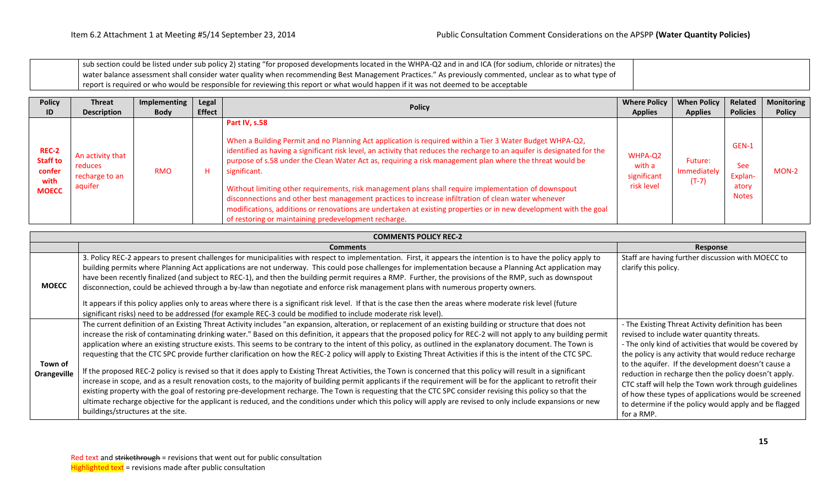| I sub section could be listed under sub policy 2) stating "for proposed developments located in the WHPA-Q2 and in and ICA (for sodium, chloride or nitrates) the |  |
|-------------------------------------------------------------------------------------------------------------------------------------------------------------------|--|
| water balance assessment shall consider water quality when recommending Best Management Practices." As previously commented, unclear as to what type of           |  |
| report is required or who would be responsible for reviewing this report or what would happen if it was not deemed to be acceptable                               |  |

| <b>Policy</b>                                                     | <b>Threat</b>                                            | Implementing | Legal         | <b>Policy</b>                                                                                                                                                                                                                                                                                                                                                                                                                                                                                                                                                                                                                                                                                                                                                                 | <b>Where Policy</b>                            | <b>When Policy</b>                | Related                                                 | <b>Monitoring</b> |
|-------------------------------------------------------------------|----------------------------------------------------------|--------------|---------------|-------------------------------------------------------------------------------------------------------------------------------------------------------------------------------------------------------------------------------------------------------------------------------------------------------------------------------------------------------------------------------------------------------------------------------------------------------------------------------------------------------------------------------------------------------------------------------------------------------------------------------------------------------------------------------------------------------------------------------------------------------------------------------|------------------------------------------------|-----------------------------------|---------------------------------------------------------|-------------------|
| ID                                                                | <b>Description</b>                                       | <b>Body</b>  | <b>Effect</b> |                                                                                                                                                                                                                                                                                                                                                                                                                                                                                                                                                                                                                                                                                                                                                                               | <b>Applies</b>                                 | <b>Applies</b>                    | <b>Policies</b>                                         | <b>Policy</b>     |
| <b>REC-2</b><br><b>Staff to</b><br>confer<br>with<br><b>MOECC</b> | An activity that<br>reduces<br>recharge to an<br>aquifer | <b>RMO</b>   | н             | Part IV, s.58<br>When a Building Permit and no Planning Act application is required within a Tier 3 Water Budget WHPA-Q2,<br>identified as having a significant risk level, an activity that reduces the recharge to an aquifer is designated for the<br>purpose of s.58 under the Clean Water Act as, requiring a risk management plan where the threat would be<br>significant.<br>Without limiting other requirements, risk management plans shall require implementation of downspout<br>disconnections and other best management practices to increase infiltration of clean water whenever<br>modifications, additions or renovations are undertaken at existing properties or in new development with the goal<br>of restoring or maintaining predevelopment recharge. | WHPA-Q2<br>with a<br>significant<br>risk level | Future:<br>Immediately<br>$(T-7)$ | GEN-1<br><b>See</b><br>Explan-<br>atory<br><b>Notes</b> | $MON-2$           |

|                        | <b>COMMENTS POLICY REC-2</b>                                                                                                                                                                                                                                                                                                                                                                                                                                                                                                                                                                                                                                                                                                                                                                                                                                                                                                                                                                                                                                                                                                                                                                                                                                                                                                                                                    |                                                                                                                                                                                                                                                                                                                                                                                                                                                                                                                          |  |  |  |  |
|------------------------|---------------------------------------------------------------------------------------------------------------------------------------------------------------------------------------------------------------------------------------------------------------------------------------------------------------------------------------------------------------------------------------------------------------------------------------------------------------------------------------------------------------------------------------------------------------------------------------------------------------------------------------------------------------------------------------------------------------------------------------------------------------------------------------------------------------------------------------------------------------------------------------------------------------------------------------------------------------------------------------------------------------------------------------------------------------------------------------------------------------------------------------------------------------------------------------------------------------------------------------------------------------------------------------------------------------------------------------------------------------------------------|--------------------------------------------------------------------------------------------------------------------------------------------------------------------------------------------------------------------------------------------------------------------------------------------------------------------------------------------------------------------------------------------------------------------------------------------------------------------------------------------------------------------------|--|--|--|--|
|                        | <b>Comments</b>                                                                                                                                                                                                                                                                                                                                                                                                                                                                                                                                                                                                                                                                                                                                                                                                                                                                                                                                                                                                                                                                                                                                                                                                                                                                                                                                                                 | Response                                                                                                                                                                                                                                                                                                                                                                                                                                                                                                                 |  |  |  |  |
| <b>MOECC</b>           | 3. Policy REC-2 appears to present challenges for municipalities with respect to implementation. First, it appears the intention is to have the policy apply to<br>building permits where Planning Act applications are not underway. This could pose challenges for implementation because a Planning Act application may<br>have been recently finalized (and subject to REC-1), and then the building permit requires a RMP. Further, the provisions of the RMP, such as downspout<br>disconnection, could be achieved through a by-law than negotiate and enforce risk management plans with numerous property owners.<br>It appears if this policy applies only to areas where there is a significant risk level. If that is the case then the areas where moderate risk level (future<br>significant risks) need to be addressed (for example REC-3 could be modified to include moderate risk level).                                                                                                                                                                                                                                                                                                                                                                                                                                                                    | Staff are having further discussion with MOECC to<br>clarify this policy.                                                                                                                                                                                                                                                                                                                                                                                                                                                |  |  |  |  |
| Town of<br>Orangeville | The current definition of an Existing Threat Activity includes "an expansion, alteration, or replacement of an existing building or structure that does not<br>increase the risk of contaminating drinking water." Based on this definition, it appears that the proposed policy for REC-2 will not apply to any building permit<br>application where an existing structure exists. This seems to be contrary to the intent of this policy, as outlined in the explanatory document. The Town is<br>requesting that the CTC SPC provide further clarification on how the REC-2 policy will apply to Existing Threat Activities if this is the intent of the CTC SPC.<br>If the proposed REC-2 policy is revised so that it does apply to Existing Threat Activities, the Town is concerned that this policy will result in a significant<br>increase in scope, and as a result renovation costs, to the majority of building permit applicants if the requirement will be for the applicant to retrofit their<br>existing property with the goal of restoring pre-development recharge. The Town is requesting that the CTC SPC consider revising this policy so that the<br>ultimate recharge objective for the applicant is reduced, and the conditions under which this policy will apply are revised to only include expansions or new<br>buildings/structures at the site. | - The Existing Threat Activity definition has been<br>revised to include water quantity threats.<br>- The only kind of activities that would be covered by<br>the policy is any activity that would reduce recharge<br>to the aquifer. If the development doesn't cause a<br>reduction in recharge then the policy doesn't apply.<br>CTC staff will help the Town work through guidelines<br>of how these types of applications would be screened<br>to determine if the policy would apply and be flagged<br>for a RMP. |  |  |  |  |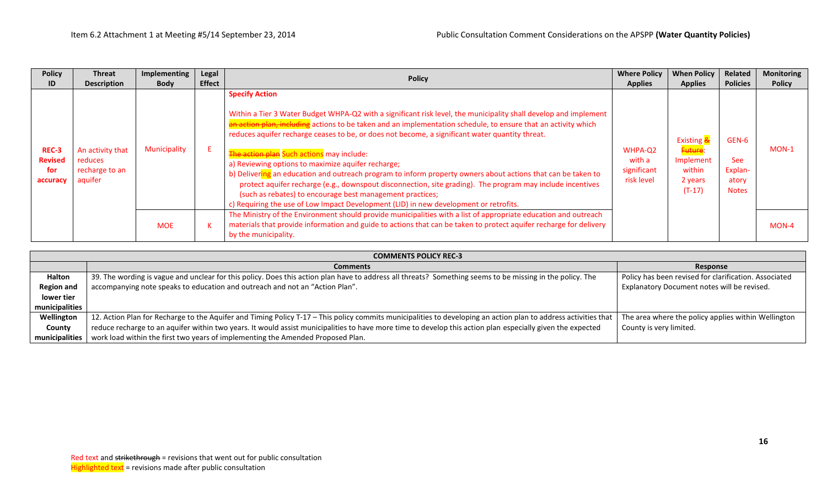| <b>Policy</b><br>ID                        | <b>Threat</b><br><b>Description</b>                      | Implementing<br><b>Body</b> | Legal<br><b>Effect</b> | <b>Policy</b>                                                                                                                                                                                                                                                                                                                                                                                                                                                                                                                                                                                                                                                                                                                                                                                                                                         | <b>Where Policy</b><br><b>Applies</b>          | <b>When Policy</b><br><b>Applies</b>                                | Related<br><b>Policies</b>                              | <b>Monitoring</b><br><b>Policy</b> |
|--------------------------------------------|----------------------------------------------------------|-----------------------------|------------------------|-------------------------------------------------------------------------------------------------------------------------------------------------------------------------------------------------------------------------------------------------------------------------------------------------------------------------------------------------------------------------------------------------------------------------------------------------------------------------------------------------------------------------------------------------------------------------------------------------------------------------------------------------------------------------------------------------------------------------------------------------------------------------------------------------------------------------------------------------------|------------------------------------------------|---------------------------------------------------------------------|---------------------------------------------------------|------------------------------------|
| REC-3<br><b>Revised</b><br>for<br>accuracy | An activity that<br>reduces<br>recharge to an<br>aquifer | Municipality                |                        | <b>Specify Action</b><br>Within a Tier 3 Water Budget WHPA-Q2 with a significant risk level, the municipality shall develop and implement<br>an action plan, including actions to be taken and an implementation schedule, to ensure that an activity which<br>reduces aquifer recharge ceases to be, or does not become, a significant water quantity threat.<br>The action plan Such actions may include:<br>a) Reviewing options to maximize aquifer recharge;<br>b) Delivering an education and outreach program to inform property owners about actions that can be taken to<br>protect aquifer recharge (e.g., downspout disconnection, site grading). The program may include incentives<br>(such as rebates) to encourage best management practices;<br>c) Requiring the use of Low Impact Development (LID) in new development or retrofits. | WHPA-Q2<br>with a<br>significant<br>risk level | Existing &<br>Future:<br>Implement<br>within<br>2 years<br>$(T-17)$ | GEN-6<br><b>See</b><br>Explan-<br>atory<br><b>Notes</b> | MON-1                              |
|                                            |                                                          | <b>MOE</b>                  |                        | The Ministry of the Environment should provide municipalities with a list of appropriate education and outreach<br>materials that provide information and guide to actions that can be taken to protect aquifer recharge for delivery<br>by the municipality.                                                                                                                                                                                                                                                                                                                                                                                                                                                                                                                                                                                         |                                                |                                                                     |                                                         | MON-4                              |

| <b>COMMENTS POLICY REC-3</b> |                                                                                                                                                                 |                                                       |  |  |  |
|------------------------------|-----------------------------------------------------------------------------------------------------------------------------------------------------------------|-------------------------------------------------------|--|--|--|
|                              | <b>Comments</b>                                                                                                                                                 | Response                                              |  |  |  |
| <b>Halton</b>                | 39. The wording is vague and unclear for this policy. Does this action plan have to address all threats? Something seems to be missing in the policy. The       | Policy has been revised for clarification. Associated |  |  |  |
| <b>Region and</b>            | accompanying note speaks to education and outreach and not an "Action Plan".                                                                                    | Explanatory Document notes will be revised.           |  |  |  |
| lower tier                   |                                                                                                                                                                 |                                                       |  |  |  |
| municipalities               |                                                                                                                                                                 |                                                       |  |  |  |
| Wellington                   | 12. Action Plan for Recharge to the Aquifer and Timing Policy T-17 - This policy commits municipalities to developing an action plan to address activities that | The area where the policy applies within Wellington   |  |  |  |
| County                       | reduce recharge to an aquifer within two years. It would assist municipalities to have more time to develop this action plan especially given the expected      | County is very limited.                               |  |  |  |
| municipalities               | work load within the first two years of implementing the Amended Proposed Plan.                                                                                 |                                                       |  |  |  |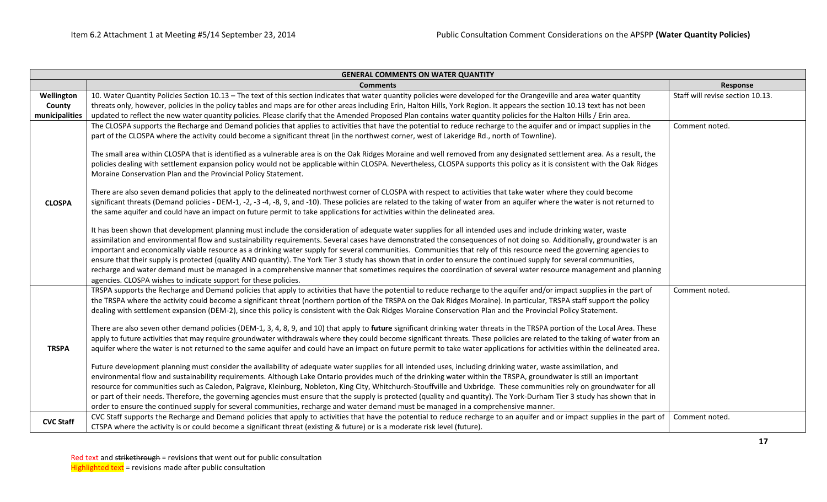| <b>GENERAL COMMENTS ON WATER QUANTITY</b> |                                                                                                                                                                                                                                                                                                                                                                                                                                                                                                                                                                                                                                                                                                                                                                                                                                                                                                                                                                                                                                                                                                                                                                                                                                                                                                                                                                                                                                                                                                                                                                                                                                                                                                                                                                 |                                  |  |  |  |  |  |
|-------------------------------------------|-----------------------------------------------------------------------------------------------------------------------------------------------------------------------------------------------------------------------------------------------------------------------------------------------------------------------------------------------------------------------------------------------------------------------------------------------------------------------------------------------------------------------------------------------------------------------------------------------------------------------------------------------------------------------------------------------------------------------------------------------------------------------------------------------------------------------------------------------------------------------------------------------------------------------------------------------------------------------------------------------------------------------------------------------------------------------------------------------------------------------------------------------------------------------------------------------------------------------------------------------------------------------------------------------------------------------------------------------------------------------------------------------------------------------------------------------------------------------------------------------------------------------------------------------------------------------------------------------------------------------------------------------------------------------------------------------------------------------------------------------------------------|----------------------------------|--|--|--|--|--|
|                                           | <b>Comments</b><br>Response                                                                                                                                                                                                                                                                                                                                                                                                                                                                                                                                                                                                                                                                                                                                                                                                                                                                                                                                                                                                                                                                                                                                                                                                                                                                                                                                                                                                                                                                                                                                                                                                                                                                                                                                     |                                  |  |  |  |  |  |
| Wellington                                | 10. Water Quantity Policies Section 10.13 - The text of this section indicates that water quantity policies were developed for the Orangeville and area water quantity                                                                                                                                                                                                                                                                                                                                                                                                                                                                                                                                                                                                                                                                                                                                                                                                                                                                                                                                                                                                                                                                                                                                                                                                                                                                                                                                                                                                                                                                                                                                                                                          | Staff will revise section 10.13. |  |  |  |  |  |
| County                                    | threats only, however, policies in the policy tables and maps are for other areas including Erin, Halton Hills, York Region. It appears the section 10.13 text has not been                                                                                                                                                                                                                                                                                                                                                                                                                                                                                                                                                                                                                                                                                                                                                                                                                                                                                                                                                                                                                                                                                                                                                                                                                                                                                                                                                                                                                                                                                                                                                                                     |                                  |  |  |  |  |  |
| municipalities                            | updated to reflect the new water quantity policies. Please clarify that the Amended Proposed Plan contains water quantity policies for the Halton Hills / Erin area.                                                                                                                                                                                                                                                                                                                                                                                                                                                                                                                                                                                                                                                                                                                                                                                                                                                                                                                                                                                                                                                                                                                                                                                                                                                                                                                                                                                                                                                                                                                                                                                            |                                  |  |  |  |  |  |
|                                           | The CLOSPA supports the Recharge and Demand policies that applies to activities that have the potential to reduce recharge to the aquifer and or impact supplies in the<br>part of the CLOSPA where the activity could become a significant threat (in the northwest corner, west of Lakeridge Rd., north of Townline).<br>The small area within CLOSPA that is identified as a vulnerable area is on the Oak Ridges Moraine and well removed from any designated settlement area. As a result, the                                                                                                                                                                                                                                                                                                                                                                                                                                                                                                                                                                                                                                                                                                                                                                                                                                                                                                                                                                                                                                                                                                                                                                                                                                                             | Comment noted.                   |  |  |  |  |  |
|                                           | policies dealing with settlement expansion policy would not be applicable within CLOSPA. Nevertheless, CLOSPA supports this policy as it is consistent with the Oak Ridges<br>Moraine Conservation Plan and the Provincial Policy Statement.                                                                                                                                                                                                                                                                                                                                                                                                                                                                                                                                                                                                                                                                                                                                                                                                                                                                                                                                                                                                                                                                                                                                                                                                                                                                                                                                                                                                                                                                                                                    |                                  |  |  |  |  |  |
| <b>CLOSPA</b>                             | There are also seven demand policies that apply to the delineated northwest corner of CLOSPA with respect to activities that take water where they could become<br>significant threats (Demand policies - DEM-1, -2, -3 -4, -8, 9, and -10). These policies are related to the taking of water from an aquifer where the water is not returned to<br>the same aquifer and could have an impact on future permit to take applications for activities within the delineated area.                                                                                                                                                                                                                                                                                                                                                                                                                                                                                                                                                                                                                                                                                                                                                                                                                                                                                                                                                                                                                                                                                                                                                                                                                                                                                 |                                  |  |  |  |  |  |
|                                           | It has been shown that development planning must include the consideration of adequate water supplies for all intended uses and include drinking water, waste<br>assimilation and environmental flow and sustainability requirements. Several cases have demonstrated the consequences of not doing so. Additionally, groundwater is an<br>important and economically viable resource as a drinking water supply for several communities. Communities that rely of this resource need the governing agencies to<br>ensure that their supply is protected (quality AND quantity). The York Tier 3 study has shown that in order to ensure the continued supply for several communities,<br>recharge and water demand must be managed in a comprehensive manner that sometimes requires the coordination of several water resource management and planning<br>agencies. CLOSPA wishes to indicate support for these policies.                                                                                                                                                                                                                                                                                                                                                                                                                                                                                                                                                                                                                                                                                                                                                                                                                                     |                                  |  |  |  |  |  |
| <b>TRSPA</b>                              | TRSPA supports the Recharge and Demand policies that apply to activities that have the potential to reduce recharge to the aquifer and/or impact supplies in the part of<br>the TRSPA where the activity could become a significant threat (northern portion of the TRSPA on the Oak Ridges Moraine). In particular, TRSPA staff support the policy<br>dealing with settlement expansion (DEM-2), since this policy is consistent with the Oak Ridges Moraine Conservation Plan and the Provincial Policy Statement.<br>There are also seven other demand policies (DEM-1, 3, 4, 8, 9, and 10) that apply to future significant drinking water threats in the TRSPA portion of the Local Area. These<br>apply to future activities that may require groundwater withdrawals where they could become significant threats. These policies are related to the taking of water from an<br>aquifer where the water is not returned to the same aquifer and could have an impact on future permit to take water applications for activities within the delineated area.<br>Future development planning must consider the availability of adequate water supplies for all intended uses, including drinking water, waste assimilation, and<br>environmental flow and sustainability requirements. Although Lake Ontario provides much of the drinking water within the TRSPA, groundwater is still an important<br>resource for communities such as Caledon, Palgrave, Kleinburg, Nobleton, King City, Whitchurch-Stouffville and Uxbridge. These communities rely on groundwater for all<br>or part of their needs. Therefore, the governing agencies must ensure that the supply is protected (quality and quantity). The York-Durham Tier 3 study has shown that in | Comment noted.                   |  |  |  |  |  |
|                                           | order to ensure the continued supply for several communities, recharge and water demand must be managed in a comprehensive manner.                                                                                                                                                                                                                                                                                                                                                                                                                                                                                                                                                                                                                                                                                                                                                                                                                                                                                                                                                                                                                                                                                                                                                                                                                                                                                                                                                                                                                                                                                                                                                                                                                              |                                  |  |  |  |  |  |
| <b>CVC Staff</b>                          | CVC Staff supports the Recharge and Demand policies that apply to activities that have the potential to reduce recharge to an aquifer and or impact supplies in the part of<br>CTSPA where the activity is or could become a significant threat (existing & future) or is a moderate risk level (future).                                                                                                                                                                                                                                                                                                                                                                                                                                                                                                                                                                                                                                                                                                                                                                                                                                                                                                                                                                                                                                                                                                                                                                                                                                                                                                                                                                                                                                                       | Comment noted.                   |  |  |  |  |  |